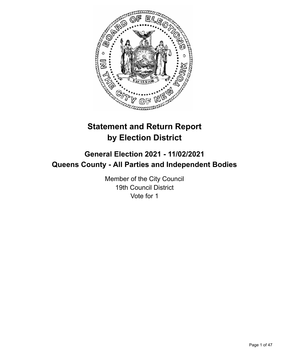

# **Statement and Return Report by Election District**

# **General Election 2021 - 11/02/2021 Queens County - All Parties and Independent Bodies**

Member of the City Council 19th Council District Vote for 1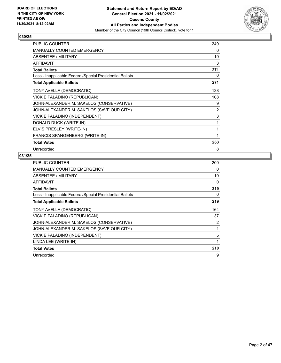

| PUBLIC COUNTER                                           | 249 |
|----------------------------------------------------------|-----|
| <b>MANUALLY COUNTED EMERGENCY</b>                        | 0   |
| <b>ABSENTEE / MILITARY</b>                               | 19  |
| <b>AFFIDAVIT</b>                                         | 3   |
| <b>Total Ballots</b>                                     | 271 |
| Less - Inapplicable Federal/Special Presidential Ballots | 0   |
| <b>Total Applicable Ballots</b>                          | 271 |
| TONY AVELLA (DEMOCRATIC)                                 | 138 |
| VICKIE PALADINO (REPUBLICAN)                             | 108 |
| JOHN-ALEXANDER M. SAKELOS (CONSERVATIVE)                 | 9   |
| JOHN-ALEXANDER M. SAKELOS (SAVE OUR CITY)                | 2   |
| VICKIE PALADINO (INDEPENDENT)                            | 3   |
| DONALD DUCK (WRITE-IN)                                   | 1   |
| ELVIS PRESLEY (WRITE-IN)                                 | 1   |
| FRANCIS SPANGENBERG (WRITE-IN)                           | 1   |
| <b>Total Votes</b>                                       | 263 |
| Unrecorded                                               | 8   |

| <b>PUBLIC COUNTER</b>                                    | 200 |
|----------------------------------------------------------|-----|
| MANUALLY COUNTED EMERGENCY                               | 0   |
| ABSENTEE / MILITARY                                      | 19  |
| <b>AFFIDAVIT</b>                                         | 0   |
| <b>Total Ballots</b>                                     | 219 |
| Less - Inapplicable Federal/Special Presidential Ballots | 0   |
| <b>Total Applicable Ballots</b>                          | 219 |
| TONY AVELLA (DEMOCRATIC)                                 | 164 |
| VICKIE PALADINO (REPUBLICAN)                             | 37  |
| JOHN-ALEXANDER M. SAKELOS (CONSERVATIVE)                 | 2   |
| JOHN-ALEXANDER M. SAKELOS (SAVE OUR CITY)                | 1   |
| VICKIE PALADINO (INDEPENDENT)                            | 5   |
| LINDA LEE (WRITE-IN)                                     | 1   |
| <b>Total Votes</b>                                       | 210 |
| Unrecorded                                               | 9   |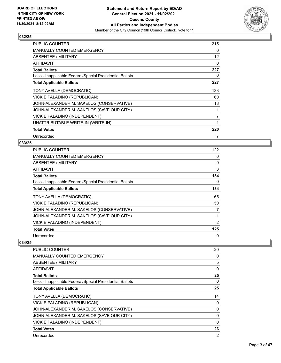

| <b>PUBLIC COUNTER</b>                                    | 215      |
|----------------------------------------------------------|----------|
| <b>MANUALLY COUNTED EMERGENCY</b>                        | 0        |
| ABSENTEE / MILITARY                                      | 12       |
| <b>AFFIDAVIT</b>                                         | $\Omega$ |
| <b>Total Ballots</b>                                     | 227      |
| Less - Inapplicable Federal/Special Presidential Ballots | 0        |
| <b>Total Applicable Ballots</b>                          | 227      |
| TONY AVELLA (DEMOCRATIC)                                 | 133      |
| VICKIE PALADINO (REPUBLICAN)                             | 60       |
| JOHN-ALEXANDER M. SAKELOS (CONSERVATIVE)                 | 18       |
| JOHN-ALEXANDER M. SAKELOS (SAVE OUR CITY)                | 1        |
| VICKIE PALADINO (INDEPENDENT)                            | 7        |
| UNATTRIBUTABLE WRITE-IN (WRITE-IN)                       | 1        |
| <b>Total Votes</b>                                       | 220      |
| Unrecorded                                               | 7        |

# **033/25**

| PUBLIC COUNTER                                           | 122 |
|----------------------------------------------------------|-----|
| <b>MANUALLY COUNTED EMERGENCY</b>                        | 0   |
| ABSENTEE / MILITARY                                      | 9   |
| AFFIDAVIT                                                | 3   |
| <b>Total Ballots</b>                                     | 134 |
| Less - Inapplicable Federal/Special Presidential Ballots | 0   |
| <b>Total Applicable Ballots</b>                          | 134 |
| TONY AVELLA (DEMOCRATIC)                                 | 65  |
| VICKIE PALADINO (REPUBLICAN)                             | 50  |
| JOHN-ALEXANDER M. SAKELOS (CONSERVATIVE)                 | 7   |
| JOHN-ALEXANDER M. SAKELOS (SAVE OUR CITY)                | 1   |
| VICKIE PALADINO (INDEPENDENT)                            | 2   |
| <b>Total Votes</b>                                       | 125 |
| Unrecorded                                               | 9   |

| PUBLIC COUNTER                                           | 20 |
|----------------------------------------------------------|----|
| MANUALLY COUNTED EMERGENCY                               | 0  |
| ABSENTEE / MILITARY                                      | 5  |
| AFFIDAVIT                                                | 0  |
| <b>Total Ballots</b>                                     | 25 |
| Less - Inapplicable Federal/Special Presidential Ballots | 0  |
| <b>Total Applicable Ballots</b>                          | 25 |
| TONY AVELLA (DEMOCRATIC)                                 | 14 |
| VICKIE PALADINO (REPUBLICAN)                             | 9  |
| JOHN-ALEXANDER M. SAKELOS (CONSERVATIVE)                 | 0  |
| JOHN-ALEXANDER M. SAKELOS (SAVE OUR CITY)                | 0  |
| <b>VICKIE PALADINO (INDEPENDENT)</b>                     | 0  |
| <b>Total Votes</b>                                       | 23 |
| Unrecorded                                               | 2  |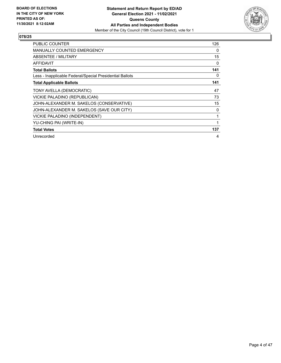

| PUBLIC COUNTER                                           | 126 |
|----------------------------------------------------------|-----|
| <b>MANUALLY COUNTED EMERGENCY</b>                        | 0   |
| <b>ABSENTEE / MILITARY</b>                               | 15  |
| <b>AFFIDAVIT</b>                                         | 0   |
| <b>Total Ballots</b>                                     | 141 |
| Less - Inapplicable Federal/Special Presidential Ballots | 0   |
| <b>Total Applicable Ballots</b>                          | 141 |
| TONY AVELLA (DEMOCRATIC)                                 | 47  |
| VICKIE PALADINO (REPUBLICAN)                             | 73  |
| JOHN-ALEXANDER M. SAKELOS (CONSERVATIVE)                 | 15  |
| JOHN-ALEXANDER M. SAKELOS (SAVE OUR CITY)                | 0   |
| VICKIE PALADINO (INDEPENDENT)                            | 1   |
| YU-CHING PAI (WRITE-IN)                                  | 1   |
| <b>Total Votes</b>                                       | 137 |
| Unrecorded                                               | 4   |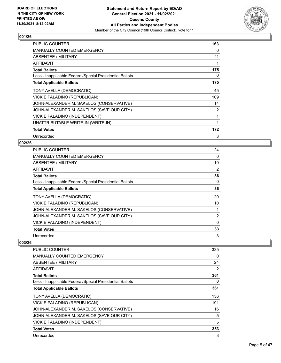

| PUBLIC COUNTER                                           | 163 |
|----------------------------------------------------------|-----|
| <b>MANUALLY COUNTED EMERGENCY</b>                        | 0   |
| ABSENTEE / MILITARY                                      | 11  |
| <b>AFFIDAVIT</b>                                         | 1   |
| <b>Total Ballots</b>                                     | 175 |
| Less - Inapplicable Federal/Special Presidential Ballots | 0   |
| <b>Total Applicable Ballots</b>                          | 175 |
| TONY AVELLA (DEMOCRATIC)                                 | 45  |
| VICKIE PALADINO (REPUBLICAN)                             | 109 |
| JOHN-ALEXANDER M. SAKELOS (CONSERVATIVE)                 | 14  |
| JOHN-ALEXANDER M. SAKELOS (SAVE OUR CITY)                | 2   |
| VICKIE PALADINO (INDEPENDENT)                            | 1   |
| UNATTRIBUTABLE WRITE-IN (WRITE-IN)                       | 1   |
| <b>Total Votes</b>                                       | 172 |
| Unrecorded                                               | 3   |

# **002/26**

| <b>PUBLIC COUNTER</b>                                    | 24             |
|----------------------------------------------------------|----------------|
| <b>MANUALLY COUNTED EMERGENCY</b>                        | 0              |
| ABSENTEE / MILITARY                                      | 10             |
| AFFIDAVIT                                                | 2              |
| <b>Total Ballots</b>                                     | 36             |
| Less - Inapplicable Federal/Special Presidential Ballots | 0              |
| <b>Total Applicable Ballots</b>                          | 36             |
| TONY AVELLA (DEMOCRATIC)                                 | 20             |
| VICKIE PALADINO (REPUBLICAN)                             | 10             |
| JOHN-ALEXANDER M. SAKELOS (CONSERVATIVE)                 |                |
| JOHN-ALEXANDER M. SAKELOS (SAVE OUR CITY)                | $\overline{2}$ |
| VICKIE PALADINO (INDEPENDENT)                            | $\Omega$       |
| <b>Total Votes</b>                                       | 33             |
| Unrecorded                                               | 3              |

| <b>PUBLIC COUNTER</b>                                    | 335 |
|----------------------------------------------------------|-----|
| <b>MANUALLY COUNTED EMERGENCY</b>                        | 0   |
| ABSENTEE / MILITARY                                      | 24  |
| AFFIDAVIT                                                | 2   |
| <b>Total Ballots</b>                                     | 361 |
| Less - Inapplicable Federal/Special Presidential Ballots | 0   |
| <b>Total Applicable Ballots</b>                          | 361 |
| TONY AVELLA (DEMOCRATIC)                                 | 136 |
| VICKIE PALADINO (REPUBLICAN)                             | 191 |
| JOHN-ALEXANDER M. SAKELOS (CONSERVATIVE)                 | 16  |
| JOHN-ALEXANDER M. SAKELOS (SAVE OUR CITY)                | 5   |
| VICKIE PALADINO (INDEPENDENT)                            | 5   |
| <b>Total Votes</b>                                       | 353 |
| Unrecorded                                               | 8   |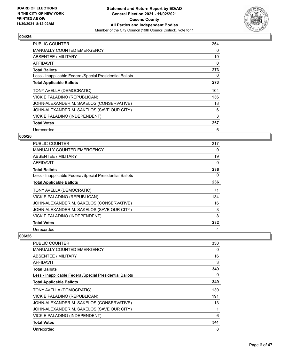

| <b>PUBLIC COUNTER</b>                                    | 254 |
|----------------------------------------------------------|-----|
| <b>MANUALLY COUNTED EMERGENCY</b>                        | 0   |
| ABSENTEE / MILITARY                                      | 19  |
| AFFIDAVIT                                                | 0   |
| <b>Total Ballots</b>                                     | 273 |
| Less - Inapplicable Federal/Special Presidential Ballots | 0   |
| <b>Total Applicable Ballots</b>                          | 273 |
| TONY AVELLA (DEMOCRATIC)                                 | 104 |
| VICKIE PALADINO (REPUBLICAN)                             | 136 |
| JOHN-ALEXANDER M. SAKELOS (CONSERVATIVE)                 | 18  |
| JOHN-ALEXANDER M. SAKELOS (SAVE OUR CITY)                | 6   |
| VICKIE PALADINO (INDEPENDENT)                            | 3   |
| <b>Total Votes</b>                                       | 267 |
| Unrecorded                                               | 6   |

# **005/26**

| <b>PUBLIC COUNTER</b>                                    | 217 |
|----------------------------------------------------------|-----|
| <b>MANUALLY COUNTED EMERGENCY</b>                        | 0   |
| ABSENTEE / MILITARY                                      | 19  |
| AFFIDAVIT                                                | 0   |
| <b>Total Ballots</b>                                     | 236 |
| Less - Inapplicable Federal/Special Presidential Ballots | 0   |
| <b>Total Applicable Ballots</b>                          | 236 |
| TONY AVELLA (DEMOCRATIC)                                 | 71  |
| VICKIE PALADINO (REPUBLICAN)                             | 134 |
| JOHN-ALEXANDER M. SAKELOS (CONSERVATIVE)                 | 16  |
| JOHN-ALEXANDER M. SAKELOS (SAVE OUR CITY)                | 3   |
| VICKIE PALADINO (INDEPENDENT)                            | 8   |
| <b>Total Votes</b>                                       | 232 |
| Unrecorded                                               | 4   |

| PUBLIC COUNTER                                           | 330 |
|----------------------------------------------------------|-----|
| <b>MANUALLY COUNTED EMERGENCY</b>                        | 0   |
| ABSENTEE / MILITARY                                      | 16  |
| AFFIDAVIT                                                | 3   |
| <b>Total Ballots</b>                                     | 349 |
| Less - Inapplicable Federal/Special Presidential Ballots | 0   |
| <b>Total Applicable Ballots</b>                          | 349 |
| TONY AVELLA (DEMOCRATIC)                                 | 130 |
| VICKIE PALADINO (REPUBLICAN)                             | 191 |
| JOHN-ALEXANDER M. SAKELOS (CONSERVATIVE)                 | 13  |
| JOHN-ALEXANDER M. SAKELOS (SAVE OUR CITY)                |     |
| VICKIE PALADINO (INDEPENDENT)                            | 6   |
| <b>Total Votes</b>                                       | 341 |
| Unrecorded                                               | 8   |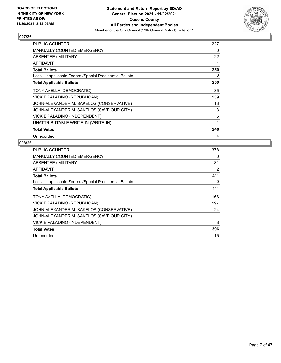

| PUBLIC COUNTER                                           | 227 |
|----------------------------------------------------------|-----|
| <b>MANUALLY COUNTED EMERGENCY</b>                        | 0   |
| <b>ABSENTEE / MILITARY</b>                               | 22  |
| AFFIDAVIT                                                | 1   |
| <b>Total Ballots</b>                                     | 250 |
| Less - Inapplicable Federal/Special Presidential Ballots | 0   |
| <b>Total Applicable Ballots</b>                          | 250 |
| TONY AVELLA (DEMOCRATIC)                                 | 85  |
| VICKIE PALADINO (REPUBLICAN)                             | 139 |
| JOHN-ALEXANDER M. SAKELOS (CONSERVATIVE)                 | 13  |
| JOHN-ALEXANDER M. SAKELOS (SAVE OUR CITY)                | 3   |
| VICKIE PALADINO (INDEPENDENT)                            | 5   |
| UNATTRIBUTABLE WRITE-IN (WRITE-IN)                       | 1   |
| <b>Total Votes</b>                                       | 246 |
| Unrecorded                                               | 4   |

| <b>PUBLIC COUNTER</b>                                    | 378 |
|----------------------------------------------------------|-----|
| <b>MANUALLY COUNTED EMERGENCY</b>                        | 0   |
| ABSENTEE / MILITARY                                      | 31  |
| AFFIDAVIT                                                | 2   |
| <b>Total Ballots</b>                                     | 411 |
| Less - Inapplicable Federal/Special Presidential Ballots | 0   |
| <b>Total Applicable Ballots</b>                          | 411 |
| TONY AVELLA (DEMOCRATIC)                                 | 166 |
| VICKIE PALADINO (REPUBLICAN)                             | 197 |
| JOHN-ALEXANDER M. SAKELOS (CONSERVATIVE)                 | 24  |
| JOHN-ALEXANDER M. SAKELOS (SAVE OUR CITY)                |     |
| VICKIE PALADINO (INDEPENDENT)                            | 8   |
| <b>Total Votes</b>                                       | 396 |
| Unrecorded                                               | 15  |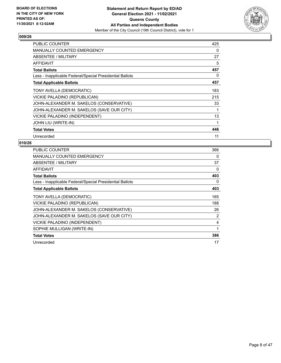

| PUBLIC COUNTER                                           | 425 |
|----------------------------------------------------------|-----|
| <b>MANUALLY COUNTED EMERGENCY</b>                        | 0   |
| <b>ABSENTEE / MILITARY</b>                               | 27  |
| AFFIDAVIT                                                | 5   |
| <b>Total Ballots</b>                                     | 457 |
| Less - Inapplicable Federal/Special Presidential Ballots | 0   |
| <b>Total Applicable Ballots</b>                          | 457 |
| TONY AVELLA (DEMOCRATIC)                                 | 183 |
| VICKIE PALADINO (REPUBLICAN)                             | 215 |
| JOHN-ALEXANDER M. SAKELOS (CONSERVATIVE)                 | 33  |
| JOHN-ALEXANDER M. SAKELOS (SAVE OUR CITY)                | 1   |
| VICKIE PALADINO (INDEPENDENT)                            | 13  |
| <b>JOHN LIU (WRITE-IN)</b>                               | 1   |
| <b>Total Votes</b>                                       | 446 |
| Unrecorded                                               | 11  |

| <b>PUBLIC COUNTER</b>                                    | 366      |
|----------------------------------------------------------|----------|
| <b>MANUALLY COUNTED EMERGENCY</b>                        | 0        |
| ABSENTEE / MILITARY                                      | 37       |
| <b>AFFIDAVIT</b>                                         | $\Omega$ |
| <b>Total Ballots</b>                                     | 403      |
| Less - Inapplicable Federal/Special Presidential Ballots | 0        |
| <b>Total Applicable Ballots</b>                          | 403      |
| TONY AVELLA (DEMOCRATIC)                                 | 165      |
| VICKIE PALADINO (REPUBLICAN)                             | 188      |
| JOHN-ALEXANDER M. SAKELOS (CONSERVATIVE)                 | 26       |
| JOHN-ALEXANDER M. SAKELOS (SAVE OUR CITY)                | 2        |
| VICKIE PALADINO (INDEPENDENT)                            | 4        |
| SOPHIE MULLIGAN (WRITE-IN)                               | 1        |
| <b>Total Votes</b>                                       | 386      |
| Unrecorded                                               | 17       |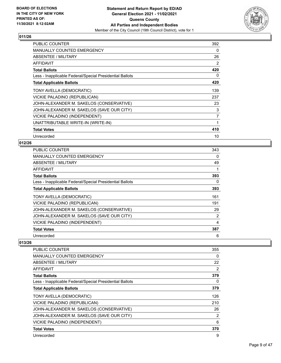

| PUBLIC COUNTER                                           | 392            |
|----------------------------------------------------------|----------------|
| <b>MANUALLY COUNTED EMERGENCY</b>                        | 0              |
| ABSENTEE / MILITARY                                      | 26             |
| <b>AFFIDAVIT</b>                                         | 2              |
| <b>Total Ballots</b>                                     | 420            |
| Less - Inapplicable Federal/Special Presidential Ballots | 0              |
| <b>Total Applicable Ballots</b>                          | 420            |
| TONY AVELLA (DEMOCRATIC)                                 | 139            |
| VICKIE PALADINO (REPUBLICAN)                             | 237            |
| JOHN-ALEXANDER M. SAKELOS (CONSERVATIVE)                 | 23             |
| JOHN-ALEXANDER M. SAKELOS (SAVE OUR CITY)                | 3              |
| VICKIE PALADINO (INDEPENDENT)                            | $\overline{7}$ |
| UNATTRIBUTABLE WRITE-IN (WRITE-IN)                       | 1              |
| <b>Total Votes</b>                                       | 410            |
| Unrecorded                                               | 10             |

# **012/26**

| <b>PUBLIC COUNTER</b>                                    | 343            |
|----------------------------------------------------------|----------------|
| <b>MANUALLY COUNTED EMERGENCY</b>                        | $\Omega$       |
| ABSENTEE / MILITARY                                      | 49             |
| AFFIDAVIT                                                |                |
| <b>Total Ballots</b>                                     | 393            |
| Less - Inapplicable Federal/Special Presidential Ballots | 0              |
| <b>Total Applicable Ballots</b>                          | 393            |
| TONY AVELLA (DEMOCRATIC)                                 | 161            |
| VICKIE PALADINO (REPUBLICAN)                             | 191            |
| JOHN-ALEXANDER M. SAKELOS (CONSERVATIVE)                 | 29             |
| JOHN-ALEXANDER M. SAKELOS (SAVE OUR CITY)                | $\overline{2}$ |
| VICKIE PALADINO (INDEPENDENT)                            | 4              |
| <b>Total Votes</b>                                       | 387            |
| Unrecorded                                               | 6              |

| <b>PUBLIC COUNTER</b>                                    | 355 |
|----------------------------------------------------------|-----|
| <b>MANUALLY COUNTED EMERGENCY</b>                        | 0   |
| ABSENTEE / MILITARY                                      | 22  |
| AFFIDAVIT                                                | 2   |
| <b>Total Ballots</b>                                     | 379 |
| Less - Inapplicable Federal/Special Presidential Ballots | 0   |
| <b>Total Applicable Ballots</b>                          | 379 |
| TONY AVELLA (DEMOCRATIC)                                 | 126 |
| VICKIE PALADINO (REPUBLICAN)                             | 210 |
| JOHN-ALEXANDER M. SAKELOS (CONSERVATIVE)                 | 26  |
| JOHN-ALEXANDER M. SAKELOS (SAVE OUR CITY)                | 2   |
| VICKIE PALADINO (INDEPENDENT)                            | 6   |
| <b>Total Votes</b>                                       | 370 |
| Unrecorded                                               | 9   |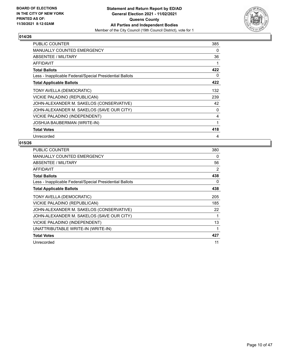

| <b>PUBLIC COUNTER</b>                                    | 385 |
|----------------------------------------------------------|-----|
| <b>MANUALLY COUNTED EMERGENCY</b>                        | 0   |
| ABSENTEE / MILITARY                                      | 36  |
| <b>AFFIDAVIT</b>                                         | 1   |
| <b>Total Ballots</b>                                     | 422 |
| Less - Inapplicable Federal/Special Presidential Ballots | 0   |
| <b>Total Applicable Ballots</b>                          | 422 |
| TONY AVELLA (DEMOCRATIC)                                 | 132 |
| VICKIE PALADINO (REPUBLICAN)                             | 239 |
| JOHN-ALEXANDER M. SAKELOS (CONSERVATIVE)                 | 42  |
| JOHN-ALEXANDER M. SAKELOS (SAVE OUR CITY)                | 0   |
| VICKIE PALADINO (INDEPENDENT)                            | 4   |
| JOSHUA BAUBERMAN (WRITE-IN)                              | 1   |
| <b>Total Votes</b>                                       | 418 |
| Unrecorded                                               | 4   |

| <b>PUBLIC COUNTER</b>                                    | 380 |
|----------------------------------------------------------|-----|
| <b>MANUALLY COUNTED EMERGENCY</b>                        | 0   |
| ABSENTEE / MILITARY                                      | 56  |
| <b>AFFIDAVIT</b>                                         | 2   |
| <b>Total Ballots</b>                                     | 438 |
| Less - Inapplicable Federal/Special Presidential Ballots | 0   |
| <b>Total Applicable Ballots</b>                          | 438 |
| TONY AVELLA (DEMOCRATIC)                                 | 205 |
| VICKIE PALADINO (REPUBLICAN)                             | 185 |
| JOHN-ALEXANDER M. SAKELOS (CONSERVATIVE)                 | 22  |
| JOHN-ALEXANDER M. SAKELOS (SAVE OUR CITY)                |     |
| VICKIE PALADINO (INDEPENDENT)                            | 13  |
| UNATTRIBUTABLE WRITE-IN (WRITE-IN)                       | 1   |
| <b>Total Votes</b>                                       | 427 |
| Unrecorded                                               | 11  |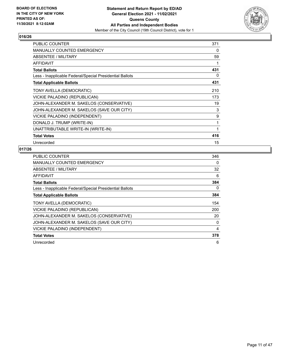

| <b>PUBLIC COUNTER</b>                                    | 371 |
|----------------------------------------------------------|-----|
| <b>MANUALLY COUNTED EMERGENCY</b>                        | 0   |
| ABSENTEE / MILITARY                                      | 59  |
| <b>AFFIDAVIT</b>                                         | 1   |
| <b>Total Ballots</b>                                     | 431 |
| Less - Inapplicable Federal/Special Presidential Ballots | 0   |
| <b>Total Applicable Ballots</b>                          | 431 |
| TONY AVELLA (DEMOCRATIC)                                 | 210 |
| VICKIE PALADINO (REPUBLICAN)                             | 173 |
| JOHN-ALEXANDER M. SAKELOS (CONSERVATIVE)                 | 19  |
| JOHN-ALEXANDER M. SAKELOS (SAVE OUR CITY)                | 3   |
| VICKIE PALADINO (INDEPENDENT)                            | 9   |
| DONALD J. TRUMP (WRITE-IN)                               | 1   |
| UNATTRIBUTABLE WRITE-IN (WRITE-IN)                       | 1   |
| <b>Total Votes</b>                                       | 416 |
| Unrecorded                                               | 15  |

| PUBLIC COUNTER                                           | 346 |
|----------------------------------------------------------|-----|
| <b>MANUALLY COUNTED EMERGENCY</b>                        | 0   |
| <b>ABSENTEE / MILITARY</b>                               | 32  |
| AFFIDAVIT                                                | 6   |
| <b>Total Ballots</b>                                     | 384 |
| Less - Inapplicable Federal/Special Presidential Ballots | 0   |
| <b>Total Applicable Ballots</b>                          | 384 |
| TONY AVELLA (DEMOCRATIC)                                 | 154 |
| VICKIE PALADINO (REPUBLICAN)                             | 200 |
| JOHN-ALEXANDER M. SAKELOS (CONSERVATIVE)                 | 20  |
| JOHN-ALEXANDER M. SAKELOS (SAVE OUR CITY)                | 0   |
| VICKIE PALADINO (INDEPENDENT)                            | 4   |
| <b>Total Votes</b>                                       | 378 |
| Unrecorded                                               | 6   |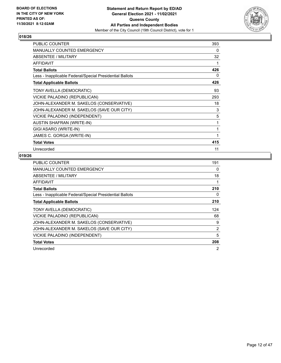

| <b>PUBLIC COUNTER</b>                                    | 393 |
|----------------------------------------------------------|-----|
| MANUALLY COUNTED EMERGENCY                               | 0   |
| <b>ABSENTEE / MILITARY</b>                               | 32  |
| AFFIDAVIT                                                | 1   |
| <b>Total Ballots</b>                                     | 426 |
| Less - Inapplicable Federal/Special Presidential Ballots | 0   |
| <b>Total Applicable Ballots</b>                          | 426 |
| TONY AVELLA (DEMOCRATIC)                                 | 93  |
| VICKIE PALADINO (REPUBLICAN)                             | 293 |
| JOHN-ALEXANDER M. SAKELOS (CONSERVATIVE)                 | 18  |
| JOHN-ALEXANDER M. SAKELOS (SAVE OUR CITY)                | 3   |
| VICKIE PALADINO (INDEPENDENT)                            | 5   |
| <b>AUSTIN SHAFRAN (WRITE-IN)</b>                         | 1   |
| GIGI ASARO (WRITE-IN)                                    | 1   |
| JAMES C. GORGA (WRITE-IN)                                | 1   |
| <b>Total Votes</b>                                       | 415 |
| Unrecorded                                               | 11  |

| <b>PUBLIC COUNTER</b>                                    | 191 |
|----------------------------------------------------------|-----|
| MANUALLY COUNTED EMERGENCY                               | 0   |
| ABSENTEE / MILITARY                                      | 18  |
| AFFIDAVIT                                                |     |
| <b>Total Ballots</b>                                     | 210 |
| Less - Inapplicable Federal/Special Presidential Ballots | 0   |
| <b>Total Applicable Ballots</b>                          | 210 |
| TONY AVELLA (DEMOCRATIC)                                 | 124 |
| VICKIE PALADINO (REPUBLICAN)                             | 68  |
| JOHN-ALEXANDER M. SAKELOS (CONSERVATIVE)                 | 9   |
| JOHN-ALEXANDER M. SAKELOS (SAVE OUR CITY)                | 2   |
| VICKIE PALADINO (INDEPENDENT)                            | 5   |
| <b>Total Votes</b>                                       | 208 |
| Unrecorded                                               | 2   |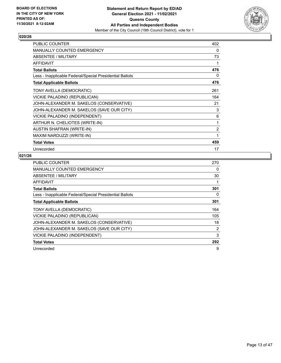

| <b>PUBLIC COUNTER</b>                                    | 402            |
|----------------------------------------------------------|----------------|
| <b>MANUALLY COUNTED EMERGENCY</b>                        | 0              |
| <b>ABSENTEE / MILITARY</b>                               | 73             |
| <b>AFFIDAVIT</b>                                         | 1              |
| <b>Total Ballots</b>                                     | 476            |
| Less - Inapplicable Federal/Special Presidential Ballots | 0              |
| <b>Total Applicable Ballots</b>                          | 476            |
| TONY AVELLA (DEMOCRATIC)                                 | 261            |
| VICKIE PALADINO (REPUBLICAN)                             | 164            |
| JOHN-ALEXANDER M. SAKELOS (CONSERVATIVE)                 | 21             |
| JOHN-ALEXANDER M. SAKELOS (SAVE OUR CITY)                | 3              |
| VICKIE PALADINO (INDEPENDENT)                            | 6              |
| ARTHUR N. CHELIOTES (WRITE-IN)                           | 1              |
| AUSTIN SHAFRAN (WRITE-IN)                                | $\overline{2}$ |
| MAXIM NARDUZZI (WRITE-IN)                                | 1              |
| <b>Total Votes</b>                                       | 459            |
| Unrecorded                                               | 17             |

| PUBLIC COUNTER                                           | 270            |
|----------------------------------------------------------|----------------|
| <b>MANUALLY COUNTED EMERGENCY</b>                        | 0              |
| ABSENTEE / MILITARY                                      | 30             |
| <b>AFFIDAVIT</b>                                         |                |
| <b>Total Ballots</b>                                     | 301            |
| Less - Inapplicable Federal/Special Presidential Ballots | 0              |
| <b>Total Applicable Ballots</b>                          | 301            |
| TONY AVELLA (DEMOCRATIC)                                 | 164            |
| VICKIE PALADINO (REPUBLICAN)                             | 105            |
| JOHN-ALEXANDER M. SAKELOS (CONSERVATIVE)                 | 18             |
| JOHN-ALEXANDER M. SAKELOS (SAVE OUR CITY)                | $\overline{2}$ |
| VICKIE PALADINO (INDEPENDENT)                            | 3              |
| <b>Total Votes</b>                                       | 292            |
| Unrecorded                                               | 9              |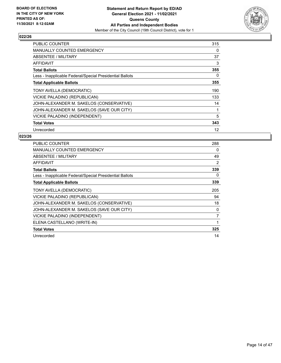

| <b>PUBLIC COUNTER</b>                                    | 315 |
|----------------------------------------------------------|-----|
| <b>MANUALLY COUNTED EMERGENCY</b>                        | 0   |
| ABSENTEE / MILITARY                                      | 37  |
| <b>AFFIDAVIT</b>                                         | 3   |
| <b>Total Ballots</b>                                     | 355 |
| Less - Inapplicable Federal/Special Presidential Ballots | 0   |
| <b>Total Applicable Ballots</b>                          | 355 |
| TONY AVELLA (DEMOCRATIC)                                 | 190 |
| VICKIE PALADINO (REPUBLICAN)                             | 133 |
| JOHN-ALEXANDER M. SAKELOS (CONSERVATIVE)                 | 14  |
| JOHN-ALEXANDER M. SAKELOS (SAVE OUR CITY)                |     |
| VICKIE PALADINO (INDEPENDENT)                            | 5   |
| <b>Total Votes</b>                                       | 343 |
| Unrecorded                                               | 12  |

| <b>PUBLIC COUNTER</b>                                    | 288            |
|----------------------------------------------------------|----------------|
| MANUALLY COUNTED EMERGENCY                               | 0              |
| <b>ABSENTEE / MILITARY</b>                               | 49             |
| AFFIDAVIT                                                | $\overline{2}$ |
| <b>Total Ballots</b>                                     | 339            |
| Less - Inapplicable Federal/Special Presidential Ballots | 0              |
| <b>Total Applicable Ballots</b>                          | 339            |
| TONY AVELLA (DEMOCRATIC)                                 | 205            |
| VICKIE PALADINO (REPUBLICAN)                             | 94             |
| JOHN-ALEXANDER M. SAKELOS (CONSERVATIVE)                 | 18             |
| JOHN-ALEXANDER M. SAKELOS (SAVE OUR CITY)                | 0              |
| VICKIE PALADINO (INDEPENDENT)                            | 7              |
| ELENA CASTELLANO (WRITE-IN)                              | 1              |
| <b>Total Votes</b>                                       | 325            |
| Unrecorded                                               | 14             |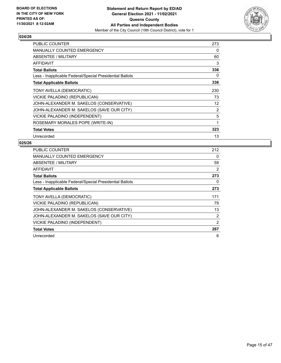

| PUBLIC COUNTER                                           | 273 |
|----------------------------------------------------------|-----|
| <b>MANUALLY COUNTED EMERGENCY</b>                        | 0   |
| ABSENTEE / MILITARY                                      | 60  |
| AFFIDAVIT                                                | 3   |
| <b>Total Ballots</b>                                     | 336 |
| Less - Inapplicable Federal/Special Presidential Ballots | 0   |
| <b>Total Applicable Ballots</b>                          | 336 |
| TONY AVELLA (DEMOCRATIC)                                 | 230 |
| VICKIE PALADINO (REPUBLICAN)                             | 73  |
| JOHN-ALEXANDER M. SAKELOS (CONSERVATIVE)                 | 12  |
| JOHN-ALEXANDER M. SAKELOS (SAVE OUR CITY)                | 2   |
| VICKIE PALADINO (INDEPENDENT)                            | 5   |
| ROSEMARY MORALES POPE (WRITE-IN)                         | 1   |
| <b>Total Votes</b>                                       | 323 |
| Unrecorded                                               | 13  |

| <b>PUBLIC COUNTER</b>                                    | 212 |
|----------------------------------------------------------|-----|
| <b>MANUALLY COUNTED EMERGENCY</b>                        | 0   |
| ABSENTEE / MILITARY                                      | 59  |
| AFFIDAVIT                                                | 2   |
| <b>Total Ballots</b>                                     | 273 |
| Less - Inapplicable Federal/Special Presidential Ballots | 0   |
| <b>Total Applicable Ballots</b>                          | 273 |
| TONY AVELLA (DEMOCRATIC)                                 | 171 |
| VICKIE PALADINO (REPUBLICAN)                             | 79  |
| JOHN-ALEXANDER M. SAKELOS (CONSERVATIVE)                 | 13  |
| JOHN-ALEXANDER M. SAKELOS (SAVE OUR CITY)                | 2   |
| VICKIE PALADINO (INDEPENDENT)                            | 2   |
| <b>Total Votes</b>                                       | 267 |
| Unrecorded                                               | 6   |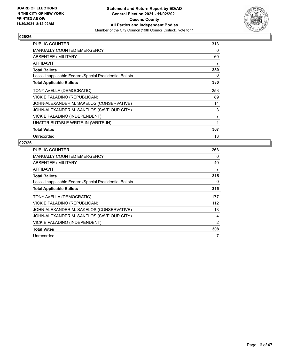

| PUBLIC COUNTER                                           | 313 |
|----------------------------------------------------------|-----|
| <b>MANUALLY COUNTED EMERGENCY</b>                        | 0   |
| ABSENTEE / MILITARY                                      | 60  |
| AFFIDAVIT                                                | 7   |
| <b>Total Ballots</b>                                     | 380 |
| Less - Inapplicable Federal/Special Presidential Ballots | 0   |
| <b>Total Applicable Ballots</b>                          | 380 |
| TONY AVELLA (DEMOCRATIC)                                 | 253 |
| VICKIE PALADINO (REPUBLICAN)                             | 89  |
| JOHN-ALEXANDER M. SAKELOS (CONSERVATIVE)                 | 14  |
| JOHN-ALEXANDER M. SAKELOS (SAVE OUR CITY)                | 3   |
| VICKIE PALADINO (INDEPENDENT)                            | 7   |
| UNATTRIBUTABLE WRITE-IN (WRITE-IN)                       | 1   |
| <b>Total Votes</b>                                       | 367 |
| Unrecorded                                               | 13  |

| PUBLIC COUNTER                                           | 268 |
|----------------------------------------------------------|-----|
| <b>MANUALLY COUNTED EMERGENCY</b>                        | 0   |
| ABSENTEE / MILITARY                                      | 40  |
| AFFIDAVIT                                                | 7   |
| <b>Total Ballots</b>                                     | 315 |
| Less - Inapplicable Federal/Special Presidential Ballots | 0   |
| <b>Total Applicable Ballots</b>                          | 315 |
| TONY AVELLA (DEMOCRATIC)                                 | 177 |
| VICKIE PALADINO (REPUBLICAN)                             | 112 |
| JOHN-ALEXANDER M. SAKELOS (CONSERVATIVE)                 | 13  |
| JOHN-ALEXANDER M. SAKELOS (SAVE OUR CITY)                | 4   |
| <b>VICKIE PALADINO (INDEPENDENT)</b>                     | 2   |
| <b>Total Votes</b>                                       | 308 |
| Unrecorded                                               |     |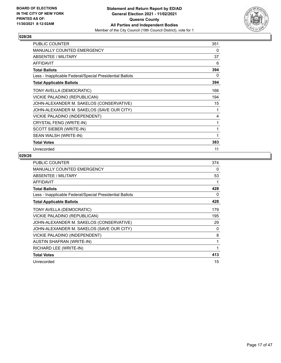

| <b>PUBLIC COUNTER</b>                                    | 351 |
|----------------------------------------------------------|-----|
| MANUALLY COUNTED EMERGENCY                               | 0   |
| <b>ABSENTEE / MILITARY</b>                               | 37  |
| <b>AFFIDAVIT</b>                                         | 6   |
| <b>Total Ballots</b>                                     | 394 |
| Less - Inapplicable Federal/Special Presidential Ballots | 0   |
| <b>Total Applicable Ballots</b>                          | 394 |
| TONY AVELLA (DEMOCRATIC)                                 | 166 |
| VICKIE PALADINO (REPUBLICAN)                             | 194 |
| JOHN-ALEXANDER M. SAKELOS (CONSERVATIVE)                 | 15  |
| JOHN-ALEXANDER M. SAKELOS (SAVE OUR CITY)                | 1   |
| VICKIE PALADINO (INDEPENDENT)                            | 4   |
| CRYSTAL FENG (WRITE-IN)                                  | 1   |
| SCOTT SIEBER (WRITE-IN)                                  | 1   |
| SEAN WALSH (WRITE-IN)                                    | 1   |
| <b>Total Votes</b>                                       | 383 |
| Unrecorded                                               | 11  |

| <b>PUBLIC COUNTER</b>                                    | 374 |
|----------------------------------------------------------|-----|
| <b>MANUALLY COUNTED EMERGENCY</b>                        | 0   |
| ABSENTEE / MILITARY                                      | 53  |
| <b>AFFIDAVIT</b>                                         | 1   |
| <b>Total Ballots</b>                                     | 428 |
| Less - Inapplicable Federal/Special Presidential Ballots | 0   |
| <b>Total Applicable Ballots</b>                          | 428 |
| TONY AVELLA (DEMOCRATIC)                                 | 179 |
| VICKIE PALADINO (REPUBLICAN)                             | 195 |
| JOHN-ALEXANDER M. SAKELOS (CONSERVATIVE)                 | 29  |
| JOHN-ALEXANDER M. SAKELOS (SAVE OUR CITY)                | 0   |
| VICKIE PALADINO (INDEPENDENT)                            | 8   |
| <b>AUSTIN SHAFRAN (WRITE-IN)</b>                         | 1   |
| RICHARD LEE (WRITE-IN)                                   | 1   |
| <b>Total Votes</b>                                       | 413 |
| Unrecorded                                               | 15  |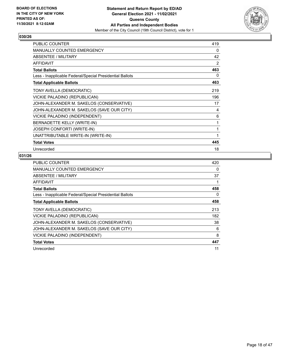

| <b>PUBLIC COUNTER</b>                                    | 419 |
|----------------------------------------------------------|-----|
| <b>MANUALLY COUNTED EMERGENCY</b>                        | 0   |
| <b>ABSENTEE / MILITARY</b>                               | 42  |
| <b>AFFIDAVIT</b>                                         | 2   |
| <b>Total Ballots</b>                                     | 463 |
| Less - Inapplicable Federal/Special Presidential Ballots | 0   |
| <b>Total Applicable Ballots</b>                          | 463 |
| TONY AVELLA (DEMOCRATIC)                                 | 219 |
| VICKIE PALADINO (REPUBLICAN)                             | 196 |
| JOHN-ALEXANDER M. SAKELOS (CONSERVATIVE)                 | 17  |
| JOHN-ALEXANDER M. SAKELOS (SAVE OUR CITY)                | 4   |
| VICKIE PALADINO (INDEPENDENT)                            | 6   |
| BERNADETTE KELLY (WRITE-IN)                              | 1   |
| JOSEPH CONFORTI (WRITE-IN)                               | 1   |
| UNATTRIBUTABLE WRITE-IN (WRITE-IN)                       | 1   |
| <b>Total Votes</b>                                       | 445 |
| Unrecorded                                               | 18  |

| PUBLIC COUNTER                                           | 420 |
|----------------------------------------------------------|-----|
| <b>MANUALLY COUNTED EMERGENCY</b>                        | 0   |
| ABSENTEE / MILITARY                                      | 37  |
| AFFIDAVIT                                                |     |
| <b>Total Ballots</b>                                     | 458 |
| Less - Inapplicable Federal/Special Presidential Ballots | 0   |
| <b>Total Applicable Ballots</b>                          | 458 |
| TONY AVELLA (DEMOCRATIC)                                 | 213 |
| VICKIE PALADINO (REPUBLICAN)                             | 182 |
| JOHN-ALEXANDER M. SAKELOS (CONSERVATIVE)                 | 38  |
| JOHN-ALEXANDER M. SAKELOS (SAVE OUR CITY)                | 6   |
| VICKIE PALADINO (INDEPENDENT)                            | 8   |
| <b>Total Votes</b>                                       | 447 |
| Unrecorded                                               | 11  |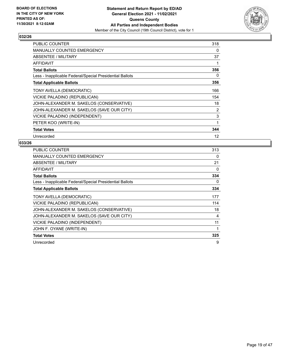

| PUBLIC COUNTER                                           | 318 |
|----------------------------------------------------------|-----|
| <b>MANUALLY COUNTED EMERGENCY</b>                        | 0   |
| ABSENTEE / MILITARY                                      | 37  |
| AFFIDAVIT                                                | 1   |
| <b>Total Ballots</b>                                     | 356 |
| Less - Inapplicable Federal/Special Presidential Ballots | 0   |
| <b>Total Applicable Ballots</b>                          | 356 |
| TONY AVELLA (DEMOCRATIC)                                 | 166 |
| VICKIE PALADINO (REPUBLICAN)                             | 154 |
| JOHN-ALEXANDER M. SAKELOS (CONSERVATIVE)                 | 18  |
| JOHN-ALEXANDER M. SAKELOS (SAVE OUR CITY)                | 2   |
| VICKIE PALADINO (INDEPENDENT)                            | 3   |
| PETER KOO (WRITE-IN)                                     | 1   |
| <b>Total Votes</b>                                       | 344 |
| Unrecorded                                               | 12  |

| PUBLIC COUNTER                                           | 313 |
|----------------------------------------------------------|-----|
| <b>MANUALLY COUNTED EMERGENCY</b>                        | 0   |
| ABSENTEE / MILITARY                                      | 21  |
| <b>AFFIDAVIT</b>                                         | 0   |
| <b>Total Ballots</b>                                     | 334 |
| Less - Inapplicable Federal/Special Presidential Ballots | 0   |
| <b>Total Applicable Ballots</b>                          | 334 |
| TONY AVELLA (DEMOCRATIC)                                 | 177 |
| VICKIE PALADINO (REPUBLICAN)                             | 114 |
| JOHN-ALEXANDER M. SAKELOS (CONSERVATIVE)                 | 18  |
| JOHN-ALEXANDER M. SAKELOS (SAVE OUR CITY)                | 4   |
| VICKIE PALADINO (INDEPENDENT)                            | 11  |
| JOHN F. OYANE (WRITE-IN)                                 | 1   |
| <b>Total Votes</b>                                       | 325 |
| Unrecorded                                               | 9   |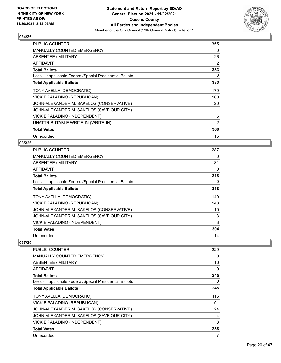

| PUBLIC COUNTER                                           | 355 |
|----------------------------------------------------------|-----|
| <b>MANUALLY COUNTED EMERGENCY</b>                        | 0   |
| ABSENTEE / MILITARY                                      | 26  |
| AFFIDAVIT                                                | 2   |
| <b>Total Ballots</b>                                     | 383 |
| Less - Inapplicable Federal/Special Presidential Ballots | 0   |
| <b>Total Applicable Ballots</b>                          | 383 |
| TONY AVELLA (DEMOCRATIC)                                 | 179 |
| VICKIE PALADINO (REPUBLICAN)                             | 160 |
| JOHN-ALEXANDER M. SAKELOS (CONSERVATIVE)                 | 20  |
| JOHN-ALEXANDER M. SAKELOS (SAVE OUR CITY)                | 1   |
| VICKIE PALADINO (INDEPENDENT)                            | 6   |
| UNATTRIBUTABLE WRITE-IN (WRITE-IN)                       | 2   |
| <b>Total Votes</b>                                       | 368 |
| Unrecorded                                               | 15  |

#### **035/26**

| PUBLIC COUNTER                                           | 287      |
|----------------------------------------------------------|----------|
| <b>MANUALLY COUNTED EMERGENCY</b>                        | 0        |
| ABSENTEE / MILITARY                                      | 31       |
| AFFIDAVIT                                                | 0        |
| <b>Total Ballots</b>                                     | 318      |
| Less - Inapplicable Federal/Special Presidential Ballots | $\Omega$ |
| <b>Total Applicable Ballots</b>                          | 318      |
| TONY AVELLA (DEMOCRATIC)                                 | 140      |
| VICKIE PALADINO (REPUBLICAN)                             | 148      |
| JOHN-ALEXANDER M. SAKELOS (CONSERVATIVE)                 | 10       |
| JOHN-ALEXANDER M. SAKELOS (SAVE OUR CITY)                | 3        |
| VICKIE PALADINO (INDEPENDENT)                            | 3        |
| <b>Total Votes</b>                                       | 304      |
| Unrecorded                                               | 14       |

| <b>PUBLIC COUNTER</b>                                    | 229          |
|----------------------------------------------------------|--------------|
| MANUALLY COUNTED EMERGENCY                               | 0            |
| ABSENTEE / MILITARY                                      | 16           |
| <b>AFFIDAVIT</b>                                         | $\mathbf{0}$ |
| <b>Total Ballots</b>                                     | 245          |
| Less - Inapplicable Federal/Special Presidential Ballots | 0            |
| <b>Total Applicable Ballots</b>                          | 245          |
| TONY AVELLA (DEMOCRATIC)                                 | 116          |
| VICKIE PALADINO (REPUBLICAN)                             | 91           |
| JOHN-ALEXANDER M. SAKELOS (CONSERVATIVE)                 | 24           |
| JOHN-ALEXANDER M. SAKELOS (SAVE OUR CITY)                | 4            |
| VICKIE PALADINO (INDEPENDENT)                            | 3            |
| <b>Total Votes</b>                                       | 238          |
| Unrecorded                                               | 7            |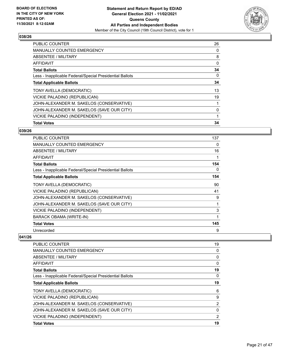

| <b>PUBLIC COUNTER</b>                                    | 26 |
|----------------------------------------------------------|----|
| <b>MANUALLY COUNTED EMERGENCY</b>                        | 0  |
| ABSENTEE / MILITARY                                      | 8  |
| <b>AFFIDAVIT</b>                                         | 0  |
| <b>Total Ballots</b>                                     | 34 |
| Less - Inapplicable Federal/Special Presidential Ballots | 0  |
| <b>Total Applicable Ballots</b>                          | 34 |
| TONY AVELLA (DEMOCRATIC)                                 | 13 |
| VICKIE PALADINO (REPUBLICAN)                             | 19 |
| JOHN-ALEXANDER M. SAKELOS (CONSERVATIVE)                 |    |
| JOHN-ALEXANDER M. SAKELOS (SAVE OUR CITY)                | 0  |
| VICKIE PALADINO (INDEPENDENT)                            | 1  |
| <b>Total Votes</b>                                       | 34 |

#### **039/26**

| <b>PUBLIC COUNTER</b>                                    | 137 |
|----------------------------------------------------------|-----|
| <b>MANUALLY COUNTED EMERGENCY</b>                        | 0   |
| <b>ABSENTEE / MILITARY</b>                               | 16  |
| <b>AFFIDAVIT</b>                                         | 1   |
| <b>Total Ballots</b>                                     | 154 |
| Less - Inapplicable Federal/Special Presidential Ballots | 0   |
| <b>Total Applicable Ballots</b>                          | 154 |
| TONY AVELLA (DEMOCRATIC)                                 | 90  |
| VICKIE PALADINO (REPUBLICAN)                             | 41  |
| JOHN-ALEXANDER M. SAKELOS (CONSERVATIVE)                 | 9   |
| JOHN-ALEXANDER M. SAKELOS (SAVE OUR CITY)                | 1   |
| VICKIE PALADINO (INDEPENDENT)                            | 3   |
| <b>BARACK OBAMA (WRITE-IN)</b>                           | 1   |
| <b>Total Votes</b>                                       | 145 |
| Unrecorded                                               | 9   |

| <b>Total Votes</b>                                       | 19             |
|----------------------------------------------------------|----------------|
|                                                          |                |
| VICKIE PALADINO (INDEPENDENT)                            | 2              |
| JOHN-ALEXANDER M. SAKELOS (SAVE OUR CITY)                | 0              |
| JOHN-ALEXANDER M. SAKELOS (CONSERVATIVE)                 | $\overline{2}$ |
| VICKIE PALADINO (REPUBLICAN)                             | 9              |
| TONY AVELLA (DEMOCRATIC)                                 | 6              |
| <b>Total Applicable Ballots</b>                          | 19             |
| Less - Inapplicable Federal/Special Presidential Ballots | 0              |
| <b>Total Ballots</b>                                     | 19             |
| <b>AFFIDAVIT</b>                                         | 0              |
| ABSENTEE / MILITARY                                      | 0              |
| MANUALLY COUNTED EMERGENCY                               | 0              |
| <b>PUBLIC COUNTER</b>                                    | 19             |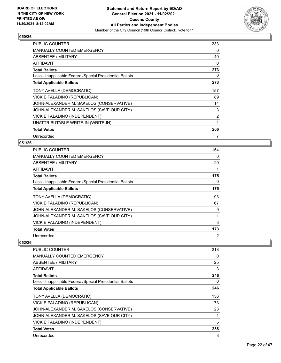

| PUBLIC COUNTER                                           | 233      |
|----------------------------------------------------------|----------|
| <b>MANUALLY COUNTED EMERGENCY</b>                        | 0        |
| ABSENTEE / MILITARY                                      | 40       |
| <b>AFFIDAVIT</b>                                         | $\Omega$ |
| <b>Total Ballots</b>                                     | 273      |
| Less - Inapplicable Federal/Special Presidential Ballots | 0        |
| <b>Total Applicable Ballots</b>                          | 273      |
| TONY AVELLA (DEMOCRATIC)                                 | 157      |
| VICKIE PALADINO (REPUBLICAN)                             | 89       |
| JOHN-ALEXANDER M. SAKELOS (CONSERVATIVE)                 | 14       |
| JOHN-ALEXANDER M. SAKELOS (SAVE OUR CITY)                | 3        |
| VICKIE PALADINO (INDEPENDENT)                            | 2        |
| UNATTRIBUTABLE WRITE-IN (WRITE-IN)                       | 1        |
| <b>Total Votes</b>                                       | 266      |
| Unrecorded                                               | 7        |

## **051/26**

| <b>PUBLIC COUNTER</b>                                    | 154            |
|----------------------------------------------------------|----------------|
| <b>MANUALLY COUNTED EMERGENCY</b>                        | 0              |
| ABSENTEE / MILITARY                                      | 20             |
| AFFIDAVIT                                                | 1              |
| <b>Total Ballots</b>                                     | 175            |
| Less - Inapplicable Federal/Special Presidential Ballots | 0              |
| <b>Total Applicable Ballots</b>                          | 175            |
| TONY AVELLA (DEMOCRATIC)                                 | 93             |
| VICKIE PALADINO (REPUBLICAN)                             | 67             |
| JOHN-ALEXANDER M. SAKELOS (CONSERVATIVE)                 | 9              |
| JOHN-ALEXANDER M. SAKELOS (SAVE OUR CITY)                | 1              |
| <b>VICKIE PALADINO (INDEPENDENT)</b>                     | 3              |
| <b>Total Votes</b>                                       | 173            |
| Unrecorded                                               | $\overline{2}$ |

| <b>PUBLIC COUNTER</b>                                    | 218 |
|----------------------------------------------------------|-----|
| MANUALLY COUNTED EMERGENCY                               | 0   |
| ABSENTEE / MILITARY                                      | 25  |
| AFFIDAVIT                                                | 3   |
| <b>Total Ballots</b>                                     | 246 |
| Less - Inapplicable Federal/Special Presidential Ballots | 0   |
| <b>Total Applicable Ballots</b>                          | 246 |
| TONY AVELLA (DEMOCRATIC)                                 | 136 |
| VICKIE PALADINO (REPUBLICAN)                             | 73  |
| JOHN-ALEXANDER M. SAKELOS (CONSERVATIVE)                 | 23  |
| JOHN-ALEXANDER M. SAKELOS (SAVE OUR CITY)                | 1   |
| VICKIE PALADINO (INDEPENDENT)                            | 5   |
| <b>Total Votes</b>                                       | 238 |
| Unrecorded                                               | 8   |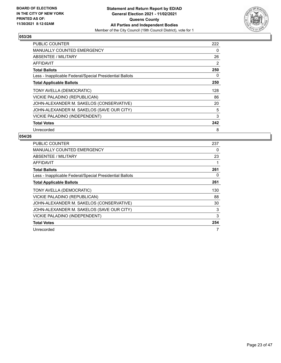

| PUBLIC COUNTER                                           | 222 |
|----------------------------------------------------------|-----|
| <b>MANUALLY COUNTED EMERGENCY</b>                        | 0   |
| ABSENTEE / MILITARY                                      | 26  |
| AFFIDAVIT                                                | 2   |
| <b>Total Ballots</b>                                     | 250 |
| Less - Inapplicable Federal/Special Presidential Ballots | 0   |
| <b>Total Applicable Ballots</b>                          | 250 |
| TONY AVELLA (DEMOCRATIC)                                 | 128 |
| VICKIE PALADINO (REPUBLICAN)                             | 86  |
| JOHN-ALEXANDER M. SAKELOS (CONSERVATIVE)                 | 20  |
| JOHN-ALEXANDER M. SAKELOS (SAVE OUR CITY)                | 5   |
| VICKIE PALADINO (INDEPENDENT)                            | 3   |
| <b>Total Votes</b>                                       | 242 |
| Unrecorded                                               | 8   |

| <b>PUBLIC COUNTER</b>                                    | 237 |
|----------------------------------------------------------|-----|
| <b>MANUALLY COUNTED EMERGENCY</b>                        | 0   |
| ABSENTEE / MILITARY                                      | 23  |
| <b>AFFIDAVIT</b>                                         |     |
| <b>Total Ballots</b>                                     | 261 |
| Less - Inapplicable Federal/Special Presidential Ballots | 0   |
| <b>Total Applicable Ballots</b>                          | 261 |
| TONY AVELLA (DEMOCRATIC)                                 | 130 |
| VICKIE PALADINO (REPUBLICAN)                             | 88  |
| JOHN-ALEXANDER M. SAKELOS (CONSERVATIVE)                 | 30  |
| JOHN-ALEXANDER M. SAKELOS (SAVE OUR CITY)                | 3   |
| VICKIE PALADINO (INDEPENDENT)                            | 3   |
| <b>Total Votes</b>                                       | 254 |
| Unrecorded                                               | 7   |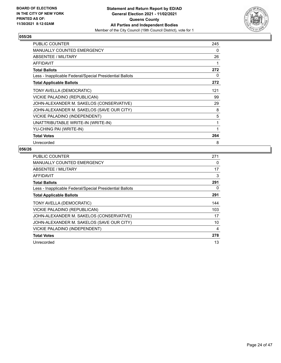

| <b>PUBLIC COUNTER</b>                                    | 245 |
|----------------------------------------------------------|-----|
| <b>MANUALLY COUNTED EMERGENCY</b>                        | 0   |
| ABSENTEE / MILITARY                                      | 26  |
| <b>AFFIDAVIT</b>                                         | 1   |
| <b>Total Ballots</b>                                     | 272 |
| Less - Inapplicable Federal/Special Presidential Ballots | 0   |
| <b>Total Applicable Ballots</b>                          | 272 |
| TONY AVELLA (DEMOCRATIC)                                 | 121 |
| VICKIE PALADINO (REPUBLICAN)                             | 99  |
| JOHN-ALEXANDER M. SAKELOS (CONSERVATIVE)                 | 29  |
| JOHN-ALEXANDER M. SAKELOS (SAVE OUR CITY)                | 8   |
| VICKIE PALADINO (INDEPENDENT)                            | 5   |
| UNATTRIBUTABLE WRITE-IN (WRITE-IN)                       | 1   |
| YU-CHING PAI (WRITE-IN)                                  | 1   |
| <b>Total Votes</b>                                       | 264 |
| Unrecorded                                               | 8   |

| <b>PUBLIC COUNTER</b>                                    | 271 |
|----------------------------------------------------------|-----|
| <b>MANUALLY COUNTED EMERGENCY</b>                        | 0   |
| ABSENTEE / MILITARY                                      | 17  |
| AFFIDAVIT                                                | 3   |
| <b>Total Ballots</b>                                     | 291 |
| Less - Inapplicable Federal/Special Presidential Ballots | 0   |
| <b>Total Applicable Ballots</b>                          | 291 |
| TONY AVELLA (DEMOCRATIC)                                 | 144 |
| VICKIE PALADINO (REPUBLICAN)                             | 103 |
| JOHN-ALEXANDER M. SAKELOS (CONSERVATIVE)                 | 17  |
| JOHN-ALEXANDER M. SAKELOS (SAVE OUR CITY)                | 10  |
| VICKIE PALADINO (INDEPENDENT)                            | 4   |
| <b>Total Votes</b>                                       | 278 |
| Unrecorded                                               | 13  |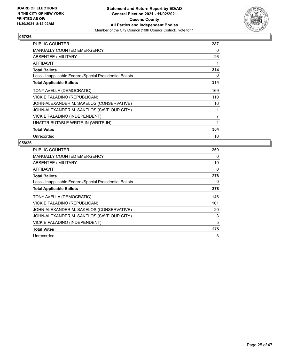

| PUBLIC COUNTER                                           | 287 |
|----------------------------------------------------------|-----|
| <b>MANUALLY COUNTED EMERGENCY</b>                        | 0   |
| <b>ABSENTEE / MILITARY</b>                               | 26  |
| AFFIDAVIT                                                |     |
| <b>Total Ballots</b>                                     | 314 |
| Less - Inapplicable Federal/Special Presidential Ballots | 0   |
| <b>Total Applicable Ballots</b>                          | 314 |
| TONY AVELLA (DEMOCRATIC)                                 | 169 |
| VICKIE PALADINO (REPUBLICAN)                             | 110 |
| JOHN-ALEXANDER M. SAKELOS (CONSERVATIVE)                 | 16  |
| JOHN-ALEXANDER M. SAKELOS (SAVE OUR CITY)                |     |
| VICKIE PALADINO (INDEPENDENT)                            | 7   |
| UNATTRIBUTABLE WRITE-IN (WRITE-IN)                       | 1   |
| <b>Total Votes</b>                                       | 304 |
| Unrecorded                                               | 10  |

| <b>PUBLIC COUNTER</b>                                    | 259 |
|----------------------------------------------------------|-----|
| <b>MANUALLY COUNTED EMERGENCY</b>                        | 0   |
| <b>ABSENTEE / MILITARY</b>                               | 19  |
| AFFIDAVIT                                                | 0   |
| <b>Total Ballots</b>                                     | 278 |
| Less - Inapplicable Federal/Special Presidential Ballots | 0   |
| <b>Total Applicable Ballots</b>                          | 278 |
| TONY AVELLA (DEMOCRATIC)                                 | 146 |
| VICKIE PALADINO (REPUBLICAN)                             | 101 |
| JOHN-ALEXANDER M. SAKELOS (CONSERVATIVE)                 | 20  |
| JOHN-ALEXANDER M. SAKELOS (SAVE OUR CITY)                | 3   |
| VICKIE PALADINO (INDEPENDENT)                            | 5   |
| <b>Total Votes</b>                                       | 275 |
| Unrecorded                                               | 3   |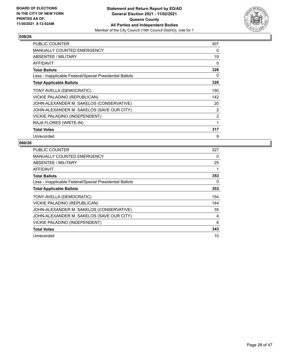

| PUBLIC COUNTER                                           | 307 |
|----------------------------------------------------------|-----|
| <b>MANUALLY COUNTED EMERGENCY</b>                        | 0   |
| <b>ABSENTEE / MILITARY</b>                               | 19  |
| AFFIDAVIT                                                | 0   |
| <b>Total Ballots</b>                                     | 326 |
| Less - Inapplicable Federal/Special Presidential Ballots | 0   |
| <b>Total Applicable Ballots</b>                          | 326 |
| TONY AVELLA (DEMOCRATIC)                                 | 150 |
| VICKIE PALADINO (REPUBLICAN)                             | 142 |
| JOHN-ALEXANDER M. SAKELOS (CONSERVATIVE)                 | 20  |
| JOHN-ALEXANDER M. SAKELOS (SAVE OUR CITY)                | 2   |
| VICKIE PALADINO (INDEPENDENT)                            | 2   |
| RAJA FLORES (WRITE-IN)                                   | 1   |
| <b>Total Votes</b>                                       | 317 |
| Unrecorded                                               | 9   |

| PUBLIC COUNTER                                           | 327 |
|----------------------------------------------------------|-----|
| <b>MANUALLY COUNTED EMERGENCY</b>                        | 0   |
| <b>ABSENTEE / MILITARY</b>                               | 25  |
| <b>AFFIDAVIT</b>                                         |     |
| <b>Total Ballots</b>                                     | 353 |
| Less - Inapplicable Federal/Special Presidential Ballots | 0   |
| <b>Total Applicable Ballots</b>                          | 353 |
| TONY AVELLA (DEMOCRATIC)                                 | 154 |
| VICKIE PALADINO (REPUBLICAN)                             | 144 |
| JOHN-ALEXANDER M. SAKELOS (CONSERVATIVE)                 | 35  |
| JOHN-ALEXANDER M. SAKELOS (SAVE OUR CITY)                | 4   |
| VICKIE PALADINO (INDEPENDENT)                            | 6   |
| <b>Total Votes</b>                                       | 343 |
| Unrecorded                                               | 10  |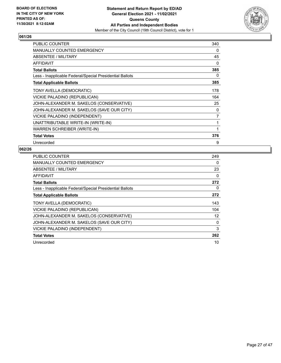

| <b>PUBLIC COUNTER</b>                                    | 340 |
|----------------------------------------------------------|-----|
| <b>MANUALLY COUNTED EMERGENCY</b>                        | 0   |
| ABSENTEE / MILITARY                                      | 45  |
| <b>AFFIDAVIT</b>                                         | 0   |
| <b>Total Ballots</b>                                     | 385 |
| Less - Inapplicable Federal/Special Presidential Ballots | 0   |
| <b>Total Applicable Ballots</b>                          | 385 |
| TONY AVELLA (DEMOCRATIC)                                 | 178 |
| VICKIE PALADINO (REPUBLICAN)                             | 164 |
| JOHN-ALEXANDER M. SAKELOS (CONSERVATIVE)                 | 25  |
| JOHN-ALEXANDER M. SAKELOS (SAVE OUR CITY)                | 0   |
| VICKIE PALADINO (INDEPENDENT)                            | 7   |
| UNATTRIBUTABLE WRITE-IN (WRITE-IN)                       | 1   |
| <b>WARREN SCHREIBER (WRITE-IN)</b>                       | 1   |
| <b>Total Votes</b>                                       | 376 |
| Unrecorded                                               | 9   |

| <b>PUBLIC COUNTER</b>                                    | 249 |
|----------------------------------------------------------|-----|
| <b>MANUALLY COUNTED EMERGENCY</b>                        | 0   |
| ABSENTEE / MILITARY                                      | 23  |
| AFFIDAVIT                                                | 0   |
| <b>Total Ballots</b>                                     | 272 |
| Less - Inapplicable Federal/Special Presidential Ballots | 0   |
| <b>Total Applicable Ballots</b>                          | 272 |
| TONY AVELLA (DEMOCRATIC)                                 | 143 |
| VICKIE PALADINO (REPUBLICAN)                             | 104 |
| JOHN-ALEXANDER M. SAKELOS (CONSERVATIVE)                 | 12  |
| JOHN-ALEXANDER M. SAKELOS (SAVE OUR CITY)                | 0   |
| VICKIE PALADINO (INDEPENDENT)                            | 3   |
| <b>Total Votes</b>                                       | 262 |
| Unrecorded                                               | 10  |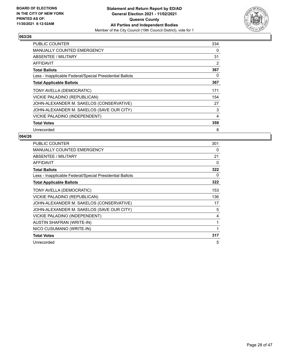

| <b>PUBLIC COUNTER</b>                                    | 334 |
|----------------------------------------------------------|-----|
| <b>MANUALLY COUNTED EMERGENCY</b>                        | 0   |
| ABSENTEE / MILITARY                                      | 31  |
| AFFIDAVIT                                                | 2   |
| <b>Total Ballots</b>                                     | 367 |
| Less - Inapplicable Federal/Special Presidential Ballots | 0   |
| <b>Total Applicable Ballots</b>                          | 367 |
| TONY AVELLA (DEMOCRATIC)                                 | 171 |
| VICKIE PALADINO (REPUBLICAN)                             | 154 |
| JOHN-ALEXANDER M. SAKELOS (CONSERVATIVE)                 | 27  |
| JOHN-ALEXANDER M. SAKELOS (SAVE OUR CITY)                | 3   |
| VICKIE PALADINO (INDEPENDENT)                            | 4   |
| <b>Total Votes</b>                                       | 359 |
| Unrecorded                                               | 8   |

| <b>PUBLIC COUNTER</b>                                    | 301 |
|----------------------------------------------------------|-----|
| <b>MANUALLY COUNTED EMERGENCY</b>                        | 0   |
| ABSENTEE / MILITARY                                      | 21  |
| <b>AFFIDAVIT</b>                                         | 0   |
| <b>Total Ballots</b>                                     | 322 |
| Less - Inapplicable Federal/Special Presidential Ballots | 0   |
| <b>Total Applicable Ballots</b>                          | 322 |
| TONY AVELLA (DEMOCRATIC)                                 | 153 |
| VICKIE PALADINO (REPUBLICAN)                             | 136 |
| JOHN-ALEXANDER M. SAKELOS (CONSERVATIVE)                 | 17  |
| JOHN-ALEXANDER M. SAKELOS (SAVE OUR CITY)                | 5   |
| VICKIE PALADINO (INDEPENDENT)                            | 4   |
| <b>AUSTIN SHAFRAN (WRITE-IN)</b>                         |     |
| NICO CUSUMANO (WRITE-IN)                                 |     |
| <b>Total Votes</b>                                       | 317 |
| Unrecorded                                               | 5   |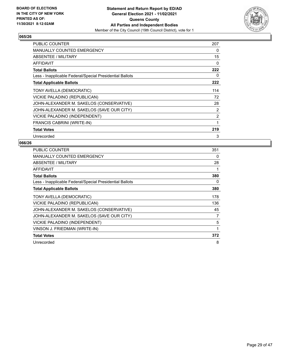

| PUBLIC COUNTER                                           | 207 |
|----------------------------------------------------------|-----|
| <b>MANUALLY COUNTED EMERGENCY</b>                        | 0   |
| <b>ABSENTEE / MILITARY</b>                               | 15  |
| AFFIDAVIT                                                | 0   |
| <b>Total Ballots</b>                                     | 222 |
| Less - Inapplicable Federal/Special Presidential Ballots | 0   |
| <b>Total Applicable Ballots</b>                          | 222 |
| TONY AVELLA (DEMOCRATIC)                                 | 114 |
| VICKIE PALADINO (REPUBLICAN)                             | 72  |
| JOHN-ALEXANDER M. SAKELOS (CONSERVATIVE)                 | 28  |
| JOHN-ALEXANDER M. SAKELOS (SAVE OUR CITY)                | 2   |
| VICKIE PALADINO (INDEPENDENT)                            | 2   |
| FRANCIS CABRINI (WRITE-IN)                               | 1   |
| <b>Total Votes</b>                                       | 219 |
| Unrecorded                                               | 3   |

| PUBLIC COUNTER                                           | 351 |
|----------------------------------------------------------|-----|
| <b>MANUALLY COUNTED EMERGENCY</b>                        | 0   |
| ABSENTEE / MILITARY                                      | 28  |
| <b>AFFIDAVIT</b>                                         | 1   |
| <b>Total Ballots</b>                                     | 380 |
| Less - Inapplicable Federal/Special Presidential Ballots | 0   |
| <b>Total Applicable Ballots</b>                          | 380 |
| TONY AVELLA (DEMOCRATIC)                                 | 178 |
| VICKIE PALADINO (REPUBLICAN)                             | 136 |
| JOHN-ALEXANDER M. SAKELOS (CONSERVATIVE)                 | 45  |
| JOHN-ALEXANDER M. SAKELOS (SAVE OUR CITY)                | 7   |
| VICKIE PALADINO (INDEPENDENT)                            | 5   |
| VINSON J. FRIEDMAN (WRITE-IN)                            | 1   |
| <b>Total Votes</b>                                       | 372 |
| Unrecorded                                               | 8   |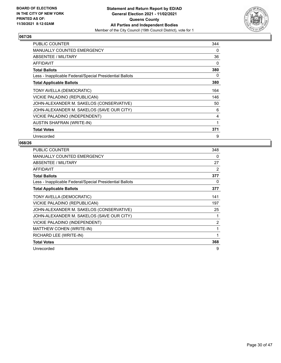

| PUBLIC COUNTER                                           | 344 |
|----------------------------------------------------------|-----|
| <b>MANUALLY COUNTED EMERGENCY</b>                        | 0   |
| <b>ABSENTEE / MILITARY</b>                               | 36  |
| <b>AFFIDAVIT</b>                                         | 0   |
| <b>Total Ballots</b>                                     | 380 |
| Less - Inapplicable Federal/Special Presidential Ballots | 0   |
| <b>Total Applicable Ballots</b>                          | 380 |
| TONY AVELLA (DEMOCRATIC)                                 | 164 |
| VICKIE PALADINO (REPUBLICAN)                             | 146 |
| JOHN-ALEXANDER M. SAKELOS (CONSERVATIVE)                 | 50  |
| JOHN-ALEXANDER M. SAKELOS (SAVE OUR CITY)                | 6   |
| VICKIE PALADINO (INDEPENDENT)                            | 4   |
| <b>AUSTIN SHAFRAN (WRITE-IN)</b>                         | 1   |
| <b>Total Votes</b>                                       | 371 |
| Unrecorded                                               | 9   |

| PUBLIC COUNTER                                           | 348 |
|----------------------------------------------------------|-----|
| <b>MANUALLY COUNTED EMERGENCY</b>                        | 0   |
| ABSENTEE / MILITARY                                      | 27  |
| <b>AFFIDAVIT</b>                                         | 2   |
| <b>Total Ballots</b>                                     | 377 |
| Less - Inapplicable Federal/Special Presidential Ballots | 0   |
| <b>Total Applicable Ballots</b>                          | 377 |
| TONY AVELLA (DEMOCRATIC)                                 | 141 |
| VICKIE PALADINO (REPUBLICAN)                             | 197 |
| JOHN-ALEXANDER M. SAKELOS (CONSERVATIVE)                 | 25  |
| JOHN-ALEXANDER M. SAKELOS (SAVE OUR CITY)                | 1   |
| VICKIE PALADINO (INDEPENDENT)                            | 2   |
| MATTHEW COHEN (WRITE-IN)                                 | 1   |
| RICHARD LEE (WRITE-IN)                                   | 1   |
| <b>Total Votes</b>                                       | 368 |
| Unrecorded                                               | 9   |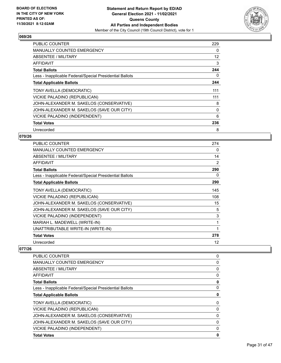

| <b>PUBLIC COUNTER</b>                                    | 229 |
|----------------------------------------------------------|-----|
| <b>MANUALLY COUNTED EMERGENCY</b>                        | 0   |
| ABSENTEE / MILITARY                                      | 12  |
| AFFIDAVIT                                                | 3   |
| <b>Total Ballots</b>                                     | 244 |
| Less - Inapplicable Federal/Special Presidential Ballots | 0   |
| <b>Total Applicable Ballots</b>                          | 244 |
| TONY AVELLA (DEMOCRATIC)                                 | 111 |
| VICKIE PALADINO (REPUBLICAN)                             | 111 |
| JOHN-ALEXANDER M. SAKELOS (CONSERVATIVE)                 | 8   |
| JOHN-ALEXANDER M. SAKELOS (SAVE OUR CITY)                | 0   |
| VICKIE PALADINO (INDEPENDENT)                            | 6   |
| <b>Total Votes</b>                                       | 236 |
| Unrecorded                                               | 8   |

# **070/26**

| <b>PUBLIC COUNTER</b>                                    | 274 |
|----------------------------------------------------------|-----|
| <b>MANUALLY COUNTED EMERGENCY</b>                        | 0   |
| ABSENTEE / MILITARY                                      | 14  |
| <b>AFFIDAVIT</b>                                         | 2   |
| <b>Total Ballots</b>                                     | 290 |
| Less - Inapplicable Federal/Special Presidential Ballots | 0   |
| <b>Total Applicable Ballots</b>                          | 290 |
| TONY AVELLA (DEMOCRATIC)                                 | 145 |
| VICKIE PALADINO (REPUBLICAN)                             | 108 |
| JOHN-ALEXANDER M. SAKELOS (CONSERVATIVE)                 | 15  |
| JOHN-ALEXANDER M. SAKELOS (SAVE OUR CITY)                | 5   |
| VICKIE PALADINO (INDEPENDENT)                            | 3   |
| MARIAH L. MADEWELL (WRITE-IN)                            | 1   |
| UNATTRIBUTABLE WRITE-IN (WRITE-IN)                       | 1   |
| <b>Total Votes</b>                                       | 278 |
| Unrecorded                                               | 12  |

| PUBLIC COUNTER                                           | 0           |
|----------------------------------------------------------|-------------|
| <b>MANUALLY COUNTED EMERGENCY</b>                        | 0           |
| ABSENTEE / MILITARY                                      | 0           |
| AFFIDAVIT                                                | 0           |
| <b>Total Ballots</b>                                     | 0           |
| Less - Inapplicable Federal/Special Presidential Ballots | 0           |
| <b>Total Applicable Ballots</b>                          | 0           |
| TONY AVELLA (DEMOCRATIC)                                 | 0           |
| VICKIE PALADINO (REPUBLICAN)                             | 0           |
| JOHN-ALEXANDER M. SAKELOS (CONSERVATIVE)                 | 0           |
| JOHN-ALEXANDER M. SAKELOS (SAVE OUR CITY)                | $\mathbf 0$ |
| VICKIE PALADINO (INDEPENDENT)                            | 0           |
| <b>Total Votes</b>                                       | 0           |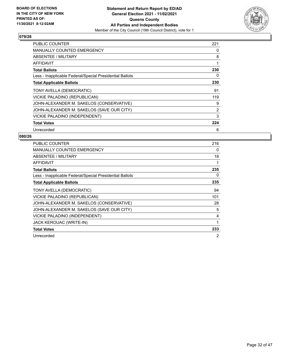

| <b>PUBLIC COUNTER</b>                                    | 221 |
|----------------------------------------------------------|-----|
| <b>MANUALLY COUNTED EMERGENCY</b>                        | 0   |
| ABSENTEE / MILITARY                                      | 8   |
| AFFIDAVIT                                                |     |
| <b>Total Ballots</b>                                     | 230 |
| Less - Inapplicable Federal/Special Presidential Ballots | 0   |
| <b>Total Applicable Ballots</b>                          | 230 |
| TONY AVELLA (DEMOCRATIC)                                 | 91  |
| VICKIE PALADINO (REPUBLICAN)                             | 119 |
| JOHN-ALEXANDER M. SAKELOS (CONSERVATIVE)                 | 9   |
| JOHN-ALEXANDER M. SAKELOS (SAVE OUR CITY)                | 2   |
| VICKIE PALADINO (INDEPENDENT)                            | 3   |
| <b>Total Votes</b>                                       | 224 |
| Unrecorded                                               | 6   |

| <b>PUBLIC COUNTER</b>                                    | 216 |
|----------------------------------------------------------|-----|
| <b>MANUALLY COUNTED EMERGENCY</b>                        | 0   |
| <b>ABSENTEE / MILITARY</b>                               | 18  |
| AFFIDAVIT                                                | 1   |
| <b>Total Ballots</b>                                     | 235 |
| Less - Inapplicable Federal/Special Presidential Ballots | 0   |
| <b>Total Applicable Ballots</b>                          | 235 |
| TONY AVELLA (DEMOCRATIC)                                 | 94  |
| VICKIE PALADINO (REPUBLICAN)                             | 101 |
| JOHN-ALEXANDER M. SAKELOS (CONSERVATIVE)                 | 28  |
| JOHN-ALEXANDER M. SAKELOS (SAVE OUR CITY)                | 5   |
| VICKIE PALADINO (INDEPENDENT)                            | 4   |
| JACK KEROUAC (WRITE-IN)                                  | 1   |
| <b>Total Votes</b>                                       | 233 |
| Unrecorded                                               | 2   |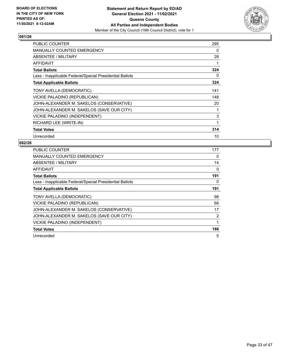

| <b>PUBLIC COUNTER</b>                                    | 295 |
|----------------------------------------------------------|-----|
| <b>MANUALLY COUNTED EMERGENCY</b>                        | 0   |
| ABSENTEE / MILITARY                                      | 28  |
| AFFIDAVIT                                                |     |
| <b>Total Ballots</b>                                     | 324 |
| Less - Inapplicable Federal/Special Presidential Ballots | 0   |
| <b>Total Applicable Ballots</b>                          | 324 |
| TONY AVELLA (DEMOCRATIC)                                 | 141 |
| VICKIE PALADINO (REPUBLICAN)                             | 148 |
| JOHN-ALEXANDER M. SAKELOS (CONSERVATIVE)                 | 20  |
| JOHN-ALEXANDER M. SAKELOS (SAVE OUR CITY)                | 1   |
| VICKIE PALADINO (INDEPENDENT)                            | 3   |
| RICHARD LEE (WRITE-IN)                                   | 1   |
| <b>Total Votes</b>                                       | 314 |
| Unrecorded                                               | 10  |

| <b>PUBLIC COUNTER</b>                                    | 177            |
|----------------------------------------------------------|----------------|
| <b>MANUALLY COUNTED EMERGENCY</b>                        | 0              |
| ABSENTEE / MILITARY                                      | 14             |
| AFFIDAVIT                                                | 0              |
| <b>Total Ballots</b>                                     | 191            |
| Less - Inapplicable Federal/Special Presidential Ballots | 0              |
| <b>Total Applicable Ballots</b>                          | 191            |
| TONY AVELLA (DEMOCRATIC)                                 | 98             |
| VICKIE PALADINO (REPUBLICAN)                             | 68             |
| JOHN-ALEXANDER M. SAKELOS (CONSERVATIVE)                 | 17             |
| JOHN-ALEXANDER M. SAKELOS (SAVE OUR CITY)                | $\overline{2}$ |
| VICKIE PALADINO (INDEPENDENT)                            |                |
| <b>Total Votes</b>                                       | 186            |
| Unrecorded                                               | 5              |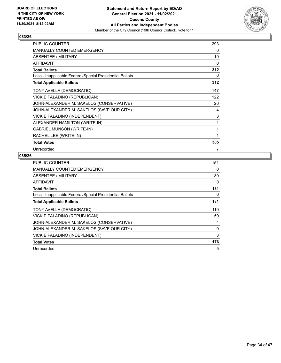

| <b>PUBLIC COUNTER</b>                                    | 293 |
|----------------------------------------------------------|-----|
| MANUALLY COUNTED EMERGENCY                               | 0   |
| <b>ABSENTEE / MILITARY</b>                               | 19  |
| <b>AFFIDAVIT</b>                                         | 0   |
| <b>Total Ballots</b>                                     | 312 |
| Less - Inapplicable Federal/Special Presidential Ballots | 0   |
| <b>Total Applicable Ballots</b>                          | 312 |
| TONY AVELLA (DEMOCRATIC)                                 | 147 |
| VICKIE PALADINO (REPUBLICAN)                             | 122 |
| JOHN-ALEXANDER M. SAKELOS (CONSERVATIVE)                 | 26  |
| JOHN-ALEXANDER M. SAKELOS (SAVE OUR CITY)                | 4   |
| VICKIE PALADINO (INDEPENDENT)                            | 3   |
| ALEXANDER HAMILTON (WRITE-IN)                            | 1   |
| <b>GABRIEL MUNSON (WRITE-IN)</b>                         | 1   |
| RACHEL LEE (WRITE-IN)                                    | 1   |
| <b>Total Votes</b>                                       | 305 |
| Unrecorded                                               | 7   |

| <b>PUBLIC COUNTER</b>                                    | 151 |
|----------------------------------------------------------|-----|
| <b>MANUALLY COUNTED EMERGENCY</b>                        | 0   |
| ABSENTEE / MILITARY                                      | 30  |
| AFFIDAVIT                                                | 0   |
| <b>Total Ballots</b>                                     | 181 |
| Less - Inapplicable Federal/Special Presidential Ballots | 0   |
| <b>Total Applicable Ballots</b>                          | 181 |
| TONY AVELLA (DEMOCRATIC)                                 | 110 |
| VICKIE PALADINO (REPUBLICAN)                             | 59  |
| JOHN-ALEXANDER M. SAKELOS (CONSERVATIVE)                 | 4   |
| JOHN-ALEXANDER M. SAKELOS (SAVE OUR CITY)                | 0   |
| VICKIE PALADINO (INDEPENDENT)                            | 3   |
| <b>Total Votes</b>                                       | 176 |
| Unrecorded                                               | 5   |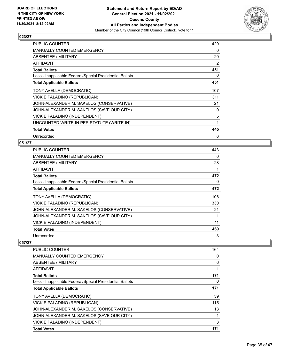

| <b>PUBLIC COUNTER</b>                                    | 429            |
|----------------------------------------------------------|----------------|
| <b>MANUALLY COUNTED EMERGENCY</b>                        | 0              |
| ABSENTEE / MILITARY                                      | 20             |
| <b>AFFIDAVIT</b>                                         | $\overline{2}$ |
| <b>Total Ballots</b>                                     | 451            |
| Less - Inapplicable Federal/Special Presidential Ballots | 0              |
| <b>Total Applicable Ballots</b>                          | 451            |
| TONY AVELLA (DEMOCRATIC)                                 | 107            |
| VICKIE PALADINO (REPUBLICAN)                             | 311            |
| JOHN-ALEXANDER M. SAKELOS (CONSERVATIVE)                 | 21             |
| JOHN-ALEXANDER M. SAKELOS (SAVE OUR CITY)                | 0              |
| VICKIE PALADINO (INDEPENDENT)                            | 5              |
| UNCOUNTED WRITE-IN PER STATUTE (WRITE-IN)                | 1              |
| <b>Total Votes</b>                                       | 445            |
| Unrecorded                                               | 6              |

# **051/27**

| <b>PUBLIC COUNTER</b>                                    | 443      |
|----------------------------------------------------------|----------|
| <b>MANUALLY COUNTED EMERGENCY</b>                        | $\Omega$ |
| ABSENTEE / MILITARY                                      | 28       |
| AFFIDAVIT                                                |          |
| <b>Total Ballots</b>                                     | 472      |
| Less - Inapplicable Federal/Special Presidential Ballots | 0        |
| <b>Total Applicable Ballots</b>                          | 472      |
| TONY AVELLA (DEMOCRATIC)                                 | 106      |
| VICKIE PALADINO (REPUBLICAN)                             | 330      |
| JOHN-ALEXANDER M. SAKELOS (CONSERVATIVE)                 | 21       |
| JOHN-ALEXANDER M. SAKELOS (SAVE OUR CITY)                |          |
| VICKIE PALADINO (INDEPENDENT)                            | 11       |
| <b>Total Votes</b>                                       | 469      |
| Unrecorded                                               | 3        |

| <b>PUBLIC COUNTER</b>                                    | 164 |
|----------------------------------------------------------|-----|
| <b>MANUALLY COUNTED EMERGENCY</b>                        | 0   |
| ABSENTEE / MILITARY                                      | 6   |
| AFFIDAVIT                                                | 1   |
| <b>Total Ballots</b>                                     | 171 |
| Less - Inapplicable Federal/Special Presidential Ballots | 0   |
| <b>Total Applicable Ballots</b>                          | 171 |
| TONY AVELLA (DEMOCRATIC)                                 | 39  |
| VICKIE PALADINO (REPUBLICAN)                             | 115 |
| JOHN-ALEXANDER M. SAKELOS (CONSERVATIVE)                 | 13  |
| JOHN-ALEXANDER M. SAKELOS (SAVE OUR CITY)                |     |
| VICKIE PALADINO (INDEPENDENT)                            | 3   |
| <b>Total Votes</b>                                       | 171 |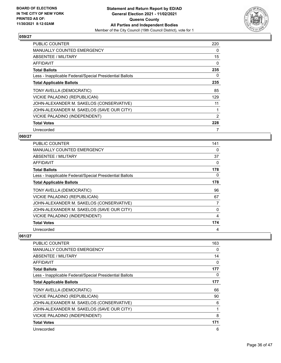

| PUBLIC COUNTER                                           | 220 |
|----------------------------------------------------------|-----|
| <b>MANUALLY COUNTED EMERGENCY</b>                        | 0   |
| ABSENTEE / MILITARY                                      | 15  |
| AFFIDAVIT                                                | 0   |
| <b>Total Ballots</b>                                     | 235 |
| Less - Inapplicable Federal/Special Presidential Ballots | 0   |
| <b>Total Applicable Ballots</b>                          | 235 |
| TONY AVELLA (DEMOCRATIC)                                 | 85  |
| VICKIE PALADINO (REPUBLICAN)                             | 129 |
| JOHN-ALEXANDER M. SAKELOS (CONSERVATIVE)                 | 11  |
| JOHN-ALEXANDER M. SAKELOS (SAVE OUR CITY)                |     |
| VICKIE PALADINO (INDEPENDENT)                            | 2   |
| <b>Total Votes</b>                                       | 228 |
| Unrecorded                                               | 7   |

# **060/27**

| PUBLIC COUNTER                                           | 141 |
|----------------------------------------------------------|-----|
| <b>MANUALLY COUNTED EMERGENCY</b>                        | 0   |
| ABSENTEE / MILITARY                                      | 37  |
| AFFIDAVIT                                                | 0   |
| <b>Total Ballots</b>                                     | 178 |
| Less - Inapplicable Federal/Special Presidential Ballots | 0   |
| <b>Total Applicable Ballots</b>                          | 178 |
| TONY AVELLA (DEMOCRATIC)                                 | 96  |
| VICKIE PALADINO (REPUBLICAN)                             | 67  |
| JOHN-ALEXANDER M. SAKELOS (CONSERVATIVE)                 | 7   |
| JOHN-ALEXANDER M. SAKELOS (SAVE OUR CITY)                | 0   |
| VICKIE PALADINO (INDEPENDENT)                            | 4   |
| <b>Total Votes</b>                                       | 174 |
| Unrecorded                                               | 4   |

| <b>PUBLIC COUNTER</b>                                    | 163 |
|----------------------------------------------------------|-----|
| <b>MANUALLY COUNTED EMERGENCY</b>                        | 0   |
| ABSENTEE / MILITARY                                      | 14  |
| <b>AFFIDAVIT</b>                                         | 0   |
| <b>Total Ballots</b>                                     | 177 |
| Less - Inapplicable Federal/Special Presidential Ballots | 0   |
| <b>Total Applicable Ballots</b>                          | 177 |
| TONY AVELLA (DEMOCRATIC)                                 | 66  |
| VICKIE PALADINO (REPUBLICAN)                             | 90  |
| JOHN-ALEXANDER M. SAKELOS (CONSERVATIVE)                 | 6   |
| JOHN-ALEXANDER M. SAKELOS (SAVE OUR CITY)                |     |
| VICKIE PALADINO (INDEPENDENT)                            | 8   |
| <b>Total Votes</b>                                       | 171 |
| Unrecorded                                               | 6   |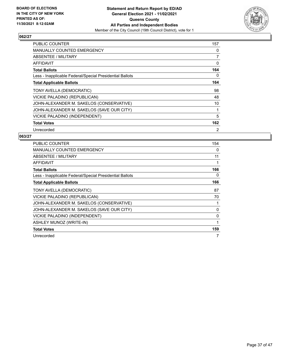

| <b>PUBLIC COUNTER</b>                                    | 157            |
|----------------------------------------------------------|----------------|
| <b>MANUALLY COUNTED EMERGENCY</b>                        | 0              |
| ABSENTEE / MILITARY                                      | 7              |
| AFFIDAVIT                                                | 0              |
| <b>Total Ballots</b>                                     | 164            |
| Less - Inapplicable Federal/Special Presidential Ballots | 0              |
| <b>Total Applicable Ballots</b>                          | 164            |
| TONY AVELLA (DEMOCRATIC)                                 | 98             |
| VICKIE PALADINO (REPUBLICAN)                             | 48             |
| JOHN-ALEXANDER M. SAKELOS (CONSERVATIVE)                 | 10             |
| JOHN-ALEXANDER M. SAKELOS (SAVE OUR CITY)                |                |
| VICKIE PALADINO (INDEPENDENT)                            | 5              |
| <b>Total Votes</b>                                       | 162            |
| Unrecorded                                               | $\overline{2}$ |

| <b>PUBLIC COUNTER</b>                                    | 154 |
|----------------------------------------------------------|-----|
| <b>MANUALLY COUNTED EMERGENCY</b>                        | 0   |
| <b>ABSENTEE / MILITARY</b>                               | 11  |
| AFFIDAVIT                                                |     |
| <b>Total Ballots</b>                                     | 166 |
| Less - Inapplicable Federal/Special Presidential Ballots | 0   |
| <b>Total Applicable Ballots</b>                          | 166 |
| TONY AVELLA (DEMOCRATIC)                                 | 87  |
| VICKIE PALADINO (REPUBLICAN)                             | 70  |
| JOHN-ALEXANDER M. SAKELOS (CONSERVATIVE)                 |     |
| JOHN-ALEXANDER M. SAKELOS (SAVE OUR CITY)                | 0   |
| VICKIE PALADINO (INDEPENDENT)                            | 0   |
| ASHLEY MUNOZ (WRITE-IN)                                  | 1   |
| <b>Total Votes</b>                                       | 159 |
| Unrecorded                                               |     |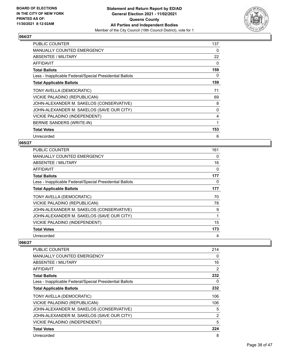

| <b>PUBLIC COUNTER</b>                                    | 137      |
|----------------------------------------------------------|----------|
| <b>MANUALLY COUNTED EMERGENCY</b>                        | 0        |
| ABSENTEE / MILITARY                                      | 22       |
| <b>AFFIDAVIT</b>                                         | 0        |
| <b>Total Ballots</b>                                     | 159      |
| Less - Inapplicable Federal/Special Presidential Ballots | 0        |
| <b>Total Applicable Ballots</b>                          | 159      |
| TONY AVELLA (DEMOCRATIC)                                 | 71       |
| VICKIE PALADINO (REPUBLICAN)                             | 69       |
| JOHN-ALEXANDER M. SAKELOS (CONSERVATIVE)                 | 8        |
| JOHN-ALEXANDER M. SAKELOS (SAVE OUR CITY)                | $\Omega$ |
| VICKIE PALADINO (INDEPENDENT)                            | 4        |
| BERNIE SANDERS (WRITE-IN)                                | 1        |
| <b>Total Votes</b>                                       | 153      |
| Unrecorded                                               | 6        |

## **065/27**

| <b>PUBLIC COUNTER</b>                                    | 161 |
|----------------------------------------------------------|-----|
| <b>MANUALLY COUNTED EMERGENCY</b>                        | 0   |
| ABSENTEE / MILITARY                                      | 16  |
| AFFIDAVIT                                                | 0   |
| <b>Total Ballots</b>                                     | 177 |
| Less - Inapplicable Federal/Special Presidential Ballots | 0   |
| <b>Total Applicable Ballots</b>                          | 177 |
| TONY AVELLA (DEMOCRATIC)                                 | 70  |
| VICKIE PALADINO (REPUBLICAN)                             | 78  |
| JOHN-ALEXANDER M. SAKELOS (CONSERVATIVE)                 | 9   |
| JOHN-ALEXANDER M. SAKELOS (SAVE OUR CITY)                | 1   |
| VICKIE PALADINO (INDEPENDENT)                            | 15  |
| <b>Total Votes</b>                                       | 173 |
| Unrecorded                                               | 4   |

| <b>PUBLIC COUNTER</b>                                    | 214            |
|----------------------------------------------------------|----------------|
| MANUALLY COUNTED EMERGENCY                               | 0              |
| ABSENTEE / MILITARY                                      | 16             |
| <b>AFFIDAVIT</b>                                         | $\overline{2}$ |
| <b>Total Ballots</b>                                     | 232            |
| Less - Inapplicable Federal/Special Presidential Ballots | 0              |
| <b>Total Applicable Ballots</b>                          | 232            |
| TONY AVELLA (DEMOCRATIC)                                 | 106            |
| VICKIE PALADINO (REPUBLICAN)                             | 106            |
| JOHN-ALEXANDER M. SAKELOS (CONSERVATIVE)                 | 5              |
| JOHN-ALEXANDER M. SAKELOS (SAVE OUR CITY)                | $\overline{2}$ |
| VICKIE PALADINO (INDEPENDENT)                            | 5              |
| <b>Total Votes</b>                                       | 224            |
| Unrecorded                                               | 8              |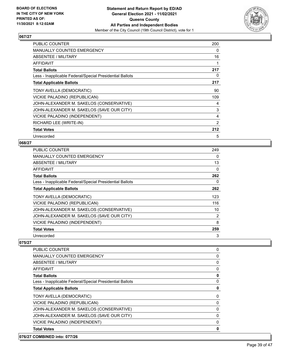

| <b>PUBLIC COUNTER</b>                                    | 200 |
|----------------------------------------------------------|-----|
| <b>MANUALLY COUNTED EMERGENCY</b>                        | 0   |
| ABSENTEE / MILITARY                                      | 16  |
| <b>AFFIDAVIT</b>                                         | 1   |
| <b>Total Ballots</b>                                     | 217 |
| Less - Inapplicable Federal/Special Presidential Ballots | 0   |
| <b>Total Applicable Ballots</b>                          | 217 |
| TONY AVELLA (DEMOCRATIC)                                 | 90  |
| VICKIE PALADINO (REPUBLICAN)                             | 109 |
| JOHN-ALEXANDER M. SAKELOS (CONSERVATIVE)                 | 4   |
| JOHN-ALEXANDER M. SAKELOS (SAVE OUR CITY)                | 3   |
| VICKIE PALADINO (INDEPENDENT)                            | 4   |
| RICHARD LEE (WRITE-IN)                                   | 2   |
| <b>Total Votes</b>                                       | 212 |
| Unrecorded                                               | 5   |

#### **068/27**

| <b>PUBLIC COUNTER</b>                                    | 249 |
|----------------------------------------------------------|-----|
| <b>MANUALLY COUNTED EMERGENCY</b>                        | 0   |
| ABSENTEE / MILITARY                                      | 13  |
| AFFIDAVIT                                                | 0   |
| <b>Total Ballots</b>                                     | 262 |
| Less - Inapplicable Federal/Special Presidential Ballots | 0   |
| <b>Total Applicable Ballots</b>                          | 262 |
| TONY AVELLA (DEMOCRATIC)                                 | 123 |
| VICKIE PALADINO (REPUBLICAN)                             | 116 |
| JOHN-ALEXANDER M. SAKELOS (CONSERVATIVE)                 | 10  |
| JOHN-ALEXANDER M. SAKELOS (SAVE OUR CITY)                | 2   |
| VICKIE PALADINO (INDEPENDENT)                            | 8   |
| <b>Total Votes</b>                                       | 259 |
| Unrecorded                                               | 3   |

#### **075/27**

| PUBLIC COUNTER                                           | 0        |
|----------------------------------------------------------|----------|
| <b>MANUALLY COUNTED EMERGENCY</b>                        | 0        |
| ABSENTEE / MILITARY                                      | 0        |
| AFFIDAVIT                                                | 0        |
| <b>Total Ballots</b>                                     | 0        |
| Less - Inapplicable Federal/Special Presidential Ballots | 0        |
| <b>Total Applicable Ballots</b>                          | 0        |
| TONY AVELLA (DEMOCRATIC)                                 | 0        |
| VICKIE PALADINO (REPUBLICAN)                             | 0        |
| JOHN-ALEXANDER M. SAKELOS (CONSERVATIVE)                 | 0        |
| JOHN-ALEXANDER M. SAKELOS (SAVE OUR CITY)                | $\Omega$ |
| VICKIE PALADINO (INDEPENDENT)                            | 0        |
| <b>Total Votes</b>                                       | 0        |

# **076/27 COMBINED into: 077/26**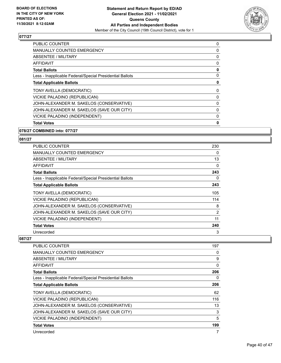

| <b>PUBLIC COUNTER</b>                                    | 0 |
|----------------------------------------------------------|---|
| <b>MANUALLY COUNTED EMERGENCY</b>                        | 0 |
| ABSENTEE / MILITARY                                      | 0 |
| <b>AFFIDAVIT</b>                                         | 0 |
| <b>Total Ballots</b>                                     | 0 |
| Less - Inapplicable Federal/Special Presidential Ballots | 0 |
| <b>Total Applicable Ballots</b>                          | 0 |
| TONY AVELLA (DEMOCRATIC)                                 | 0 |
| VICKIE PALADINO (REPUBLICAN)                             | 0 |
| JOHN-ALEXANDER M. SAKELOS (CONSERVATIVE)                 | 0 |
| JOHN-ALEXANDER M. SAKELOS (SAVE OUR CITY)                | 0 |
| VICKIE PALADINO (INDEPENDENT)                            | 0 |
| <b>Total Votes</b>                                       | 0 |

# **078/27 COMBINED into: 077/27**

# **081/27**

| <b>PUBLIC COUNTER</b>                                    | 230            |
|----------------------------------------------------------|----------------|
| <b>MANUALLY COUNTED EMERGENCY</b>                        | 0              |
| ABSENTEE / MILITARY                                      | 13             |
| AFFIDAVIT                                                | 0              |
| <b>Total Ballots</b>                                     | 243            |
| Less - Inapplicable Federal/Special Presidential Ballots | 0              |
| <b>Total Applicable Ballots</b>                          | 243            |
| TONY AVELLA (DEMOCRATIC)                                 | 105            |
| VICKIE PALADINO (REPUBLICAN)                             | 114            |
| JOHN-ALEXANDER M. SAKELOS (CONSERVATIVE)                 | 8              |
| JOHN-ALEXANDER M. SAKELOS (SAVE OUR CITY)                | $\overline{2}$ |
| VICKIE PALADINO (INDEPENDENT)                            | 11             |
| <b>Total Votes</b>                                       | 240            |
| Unrecorded                                               | 3              |

| PUBLIC COUNTER                                           | 197 |
|----------------------------------------------------------|-----|
| <b>MANUALLY COUNTED EMERGENCY</b>                        | 0   |
| ABSENTEE / MILITARY                                      | 9   |
| <b>AFFIDAVIT</b>                                         | 0   |
| <b>Total Ballots</b>                                     | 206 |
| Less - Inapplicable Federal/Special Presidential Ballots | 0   |
| <b>Total Applicable Ballots</b>                          | 206 |
| TONY AVELLA (DEMOCRATIC)                                 | 62  |
| VICKIE PALADINO (REPUBLICAN)                             | 116 |
| JOHN-ALEXANDER M. SAKELOS (CONSERVATIVE)                 | 13  |
| JOHN-ALEXANDER M. SAKELOS (SAVE OUR CITY)                | 3   |
| VICKIE PALADINO (INDEPENDENT)                            | 5   |
| <b>Total Votes</b>                                       | 199 |
| Unrecorded                                               | 7   |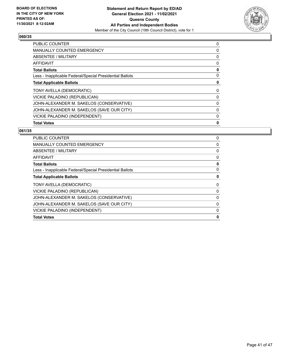

| <b>PUBLIC COUNTER</b>                                    | 0 |
|----------------------------------------------------------|---|
| <b>MANUALLY COUNTED EMERGENCY</b>                        | 0 |
| ABSENTEE / MILITARY                                      | 0 |
| AFFIDAVIT                                                | 0 |
| <b>Total Ballots</b>                                     | 0 |
| Less - Inapplicable Federal/Special Presidential Ballots | 0 |
| <b>Total Applicable Ballots</b>                          | 0 |
| TONY AVELLA (DEMOCRATIC)                                 | 0 |
| VICKIE PALADINO (REPUBLICAN)                             | 0 |
| JOHN-ALEXANDER M. SAKELOS (CONSERVATIVE)                 | 0 |
| JOHN-ALEXANDER M. SAKELOS (SAVE OUR CITY)                | 0 |
| VICKIE PALADINO (INDEPENDENT)                            | 0 |
| <b>Total Votes</b>                                       | 0 |

| PUBLIC COUNTER                                           | 0 |
|----------------------------------------------------------|---|
| <b>MANUALLY COUNTED EMERGENCY</b>                        | 0 |
| ABSENTEE / MILITARY                                      | 0 |
| AFFIDAVIT                                                | 0 |
| <b>Total Ballots</b>                                     | 0 |
| Less - Inapplicable Federal/Special Presidential Ballots | 0 |
| <b>Total Applicable Ballots</b>                          | 0 |
| TONY AVELLA (DEMOCRATIC)                                 | 0 |
| VICKIE PALADINO (REPUBLICAN)                             | 0 |
| JOHN-ALEXANDER M. SAKELOS (CONSERVATIVE)                 | 0 |
| JOHN-ALEXANDER M. SAKELOS (SAVE OUR CITY)                | 0 |
| VICKIE PALADINO (INDEPENDENT)                            | 0 |
| <b>Total Votes</b>                                       | 0 |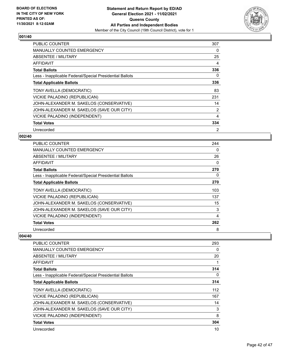

| <b>PUBLIC COUNTER</b>                                    | 307 |
|----------------------------------------------------------|-----|
| <b>MANUALLY COUNTED EMERGENCY</b>                        | 0   |
| <b>ABSENTEE / MILITARY</b>                               | 25  |
| AFFIDAVIT                                                | 4   |
| <b>Total Ballots</b>                                     | 336 |
| Less - Inapplicable Federal/Special Presidential Ballots | 0   |
| <b>Total Applicable Ballots</b>                          | 336 |
| TONY AVELLA (DEMOCRATIC)                                 | 83  |
| VICKIE PALADINO (REPUBLICAN)                             | 231 |
| JOHN-ALEXANDER M. SAKELOS (CONSERVATIVE)                 | 14  |
| JOHN-ALEXANDER M. SAKELOS (SAVE OUR CITY)                | 2   |
| VICKIE PALADINO (INDEPENDENT)                            | 4   |
| <b>Total Votes</b>                                       | 334 |
| Unrecorded                                               | 2   |

# **002/40**

| <b>PUBLIC COUNTER</b>                                    | 244 |
|----------------------------------------------------------|-----|
| <b>MANUALLY COUNTED EMERGENCY</b>                        | 0   |
| ABSENTEE / MILITARY                                      | 26  |
| AFFIDAVIT                                                | 0   |
| <b>Total Ballots</b>                                     | 270 |
| Less - Inapplicable Federal/Special Presidential Ballots | 0   |
| <b>Total Applicable Ballots</b>                          | 270 |
| TONY AVELLA (DEMOCRATIC)                                 | 103 |
| VICKIE PALADINO (REPUBLICAN)                             | 137 |
| JOHN-ALEXANDER M. SAKELOS (CONSERVATIVE)                 | 15  |
| JOHN-ALEXANDER M. SAKELOS (SAVE OUR CITY)                | 3   |
| VICKIE PALADINO (INDEPENDENT)                            | 4   |
| <b>Total Votes</b>                                       | 262 |
| Unrecorded                                               | 8   |

| PUBLIC COUNTER                                           | 293 |
|----------------------------------------------------------|-----|
| <b>MANUALLY COUNTED EMERGENCY</b>                        | 0   |
| <b>ABSENTEE / MILITARY</b>                               | 20  |
| AFFIDAVIT                                                |     |
| <b>Total Ballots</b>                                     | 314 |
| Less - Inapplicable Federal/Special Presidential Ballots | 0   |
| <b>Total Applicable Ballots</b>                          | 314 |
| TONY AVELLA (DEMOCRATIC)                                 | 112 |
| VICKIE PALADINO (REPUBLICAN)                             | 167 |
| JOHN-ALEXANDER M. SAKELOS (CONSERVATIVE)                 | 14  |
| JOHN-ALEXANDER M. SAKELOS (SAVE OUR CITY)                | 3   |
| <b>VICKIE PALADINO (INDEPENDENT)</b>                     | 8   |
| <b>Total Votes</b>                                       | 304 |
| Unrecorded                                               | 10  |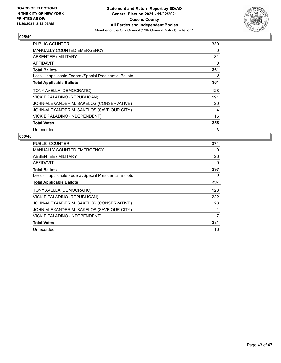

| PUBLIC COUNTER                                           | 330 |
|----------------------------------------------------------|-----|
| <b>MANUALLY COUNTED EMERGENCY</b>                        | 0   |
| ABSENTEE / MILITARY                                      | 31  |
| <b>AFFIDAVIT</b>                                         | 0   |
| <b>Total Ballots</b>                                     | 361 |
| Less - Inapplicable Federal/Special Presidential Ballots | 0   |
| <b>Total Applicable Ballots</b>                          | 361 |
| TONY AVELLA (DEMOCRATIC)                                 | 128 |
| VICKIE PALADINO (REPUBLICAN)                             | 191 |
| JOHN-ALEXANDER M. SAKELOS (CONSERVATIVE)                 | 20  |
| JOHN-ALEXANDER M. SAKELOS (SAVE OUR CITY)                | 4   |
| VICKIE PALADINO (INDEPENDENT)                            | 15  |
| <b>Total Votes</b>                                       | 358 |
| Unrecorded                                               | 3   |

| <b>PUBLIC COUNTER</b>                                    | 371 |
|----------------------------------------------------------|-----|
| <b>MANUALLY COUNTED EMERGENCY</b>                        | 0   |
| <b>ABSENTEE / MILITARY</b>                               | 26  |
| AFFIDAVIT                                                | 0   |
| <b>Total Ballots</b>                                     | 397 |
| Less - Inapplicable Federal/Special Presidential Ballots | 0   |
| <b>Total Applicable Ballots</b>                          | 397 |
| TONY AVELLA (DEMOCRATIC)                                 | 128 |
| VICKIE PALADINO (REPUBLICAN)                             | 222 |
| JOHN-ALEXANDER M. SAKELOS (CONSERVATIVE)                 | 23  |
| JOHN-ALEXANDER M. SAKELOS (SAVE OUR CITY)                |     |
| <b>VICKIE PALADINO (INDEPENDENT)</b>                     | 7   |
| <b>Total Votes</b>                                       | 381 |
| Unrecorded                                               | 16  |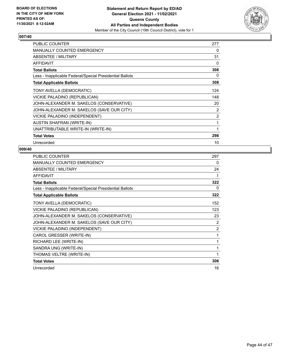

| PUBLIC COUNTER                                           | 277 |
|----------------------------------------------------------|-----|
| <b>MANUALLY COUNTED EMERGENCY</b>                        | 0   |
| <b>ABSENTEE / MILITARY</b>                               | 31  |
| <b>AFFIDAVIT</b>                                         | 0   |
| <b>Total Ballots</b>                                     | 308 |
| Less - Inapplicable Federal/Special Presidential Ballots | 0   |
| <b>Total Applicable Ballots</b>                          | 308 |
| TONY AVELLA (DEMOCRATIC)                                 | 124 |
| VICKIE PALADINO (REPUBLICAN)                             | 148 |
| JOHN-ALEXANDER M. SAKELOS (CONSERVATIVE)                 | 20  |
| JOHN-ALEXANDER M. SAKELOS (SAVE OUR CITY)                | 2   |
| VICKIE PALADINO (INDEPENDENT)                            | 2   |
| <b>AUSTIN SHAFRAN (WRITE-IN)</b>                         | 1   |
| UNATTRIBUTABLE WRITE-IN (WRITE-IN)                       | 1   |
| <b>Total Votes</b>                                       | 298 |
| Unrecorded                                               | 10  |

| <b>PUBLIC COUNTER</b>                                    | 297            |
|----------------------------------------------------------|----------------|
| <b>MANUALLY COUNTED EMERGENCY</b>                        | 0              |
| <b>ABSENTEE / MILITARY</b>                               | 24             |
| <b>AFFIDAVIT</b>                                         | 1              |
| <b>Total Ballots</b>                                     | 322            |
| Less - Inapplicable Federal/Special Presidential Ballots | 0              |
| <b>Total Applicable Ballots</b>                          | 322            |
| TONY AVELLA (DEMOCRATIC)                                 | 152            |
| VICKIE PALADINO (REPUBLICAN)                             | 123            |
| JOHN-ALEXANDER M. SAKELOS (CONSERVATIVE)                 | 23             |
| JOHN-ALEXANDER M. SAKELOS (SAVE OUR CITY)                | 2              |
| VICKIE PALADINO (INDEPENDENT)                            | $\overline{2}$ |
| CAROL GRESSER (WRITE-IN)                                 | 1              |
| RICHARD LEE (WRITE-IN)                                   | 1              |
| SANDRA UNG (WRITE-IN)                                    |                |
| THOMAS VELTRE (WRITE-IN)                                 | 1              |
| <b>Total Votes</b>                                       | 306            |
| Unrecorded                                               | 16             |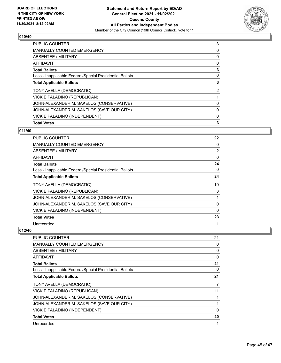

| <b>PUBLIC COUNTER</b>                                    | 3 |
|----------------------------------------------------------|---|
| <b>MANUALLY COUNTED EMERGENCY</b>                        | 0 |
| <b>ABSENTEE / MILITARY</b>                               | 0 |
| <b>AFFIDAVIT</b>                                         | 0 |
| <b>Total Ballots</b>                                     | 3 |
| Less - Inapplicable Federal/Special Presidential Ballots | 0 |
| <b>Total Applicable Ballots</b>                          | 3 |
| TONY AVELLA (DEMOCRATIC)                                 | 2 |
| VICKIE PALADINO (REPUBLICAN)                             |   |
| JOHN-ALEXANDER M. SAKELOS (CONSERVATIVE)                 | 0 |
| JOHN-ALEXANDER M. SAKELOS (SAVE OUR CITY)                | 0 |
| VICKIE PALADINO (INDEPENDENT)                            | 0 |
| <b>Total Votes</b>                                       | 3 |
|                                                          |   |

# **011/40**

| PUBLIC COUNTER                                           | 22             |
|----------------------------------------------------------|----------------|
| <b>MANUALLY COUNTED EMERGENCY</b>                        | 0              |
| ABSENTEE / MILITARY                                      | $\overline{2}$ |
| <b>AFFIDAVIT</b>                                         | $\Omega$       |
| <b>Total Ballots</b>                                     | 24             |
| Less - Inapplicable Federal/Special Presidential Ballots | $\Omega$       |
| <b>Total Applicable Ballots</b>                          | 24             |
| TONY AVELLA (DEMOCRATIC)                                 | 19             |
| VICKIE PALADINO (REPUBLICAN)                             | 3              |
| JOHN-ALEXANDER M. SAKELOS (CONSERVATIVE)                 |                |
| JOHN-ALEXANDER M. SAKELOS (SAVE OUR CITY)                | $\Omega$       |
| VICKIE PALADINO (INDEPENDENT)                            | $\mathbf{0}$   |
| <b>Total Votes</b>                                       | 23             |
| Unrecorded                                               |                |

| <b>PUBLIC COUNTER</b>                                    | 21       |
|----------------------------------------------------------|----------|
| MANUALLY COUNTED EMERGENCY                               | 0        |
| ABSENTEE / MILITARY                                      | 0        |
| <b>AFFIDAVIT</b>                                         | $\Omega$ |
| <b>Total Ballots</b>                                     | 21       |
| Less - Inapplicable Federal/Special Presidential Ballots | 0        |
| <b>Total Applicable Ballots</b>                          | 21       |
| TONY AVELLA (DEMOCRATIC)                                 | 7        |
| VICKIE PALADINO (REPUBLICAN)                             | 11       |
| JOHN-ALEXANDER M. SAKELOS (CONSERVATIVE)                 |          |
| JOHN-ALEXANDER M. SAKELOS (SAVE OUR CITY)                |          |
| VICKIE PALADINO (INDEPENDENT)                            | 0        |
| <b>Total Votes</b>                                       | 20       |
| Unrecorded                                               |          |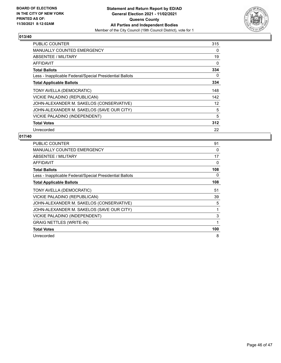

| PUBLIC COUNTER                                           | 315 |
|----------------------------------------------------------|-----|
| MANUALLY COUNTED EMERGENCY                               | 0   |
| <b>ABSENTEE / MILITARY</b>                               | 19  |
| AFFIDAVIT                                                | 0   |
| <b>Total Ballots</b>                                     | 334 |
| Less - Inapplicable Federal/Special Presidential Ballots | 0   |
| <b>Total Applicable Ballots</b>                          | 334 |
| TONY AVELLA (DEMOCRATIC)                                 | 148 |
| VICKIE PALADINO (REPUBLICAN)                             | 142 |
| JOHN-ALEXANDER M. SAKELOS (CONSERVATIVE)                 | 12  |
| JOHN-ALEXANDER M. SAKELOS (SAVE OUR CITY)                | 5   |
| VICKIE PALADINO (INDEPENDENT)                            | 5   |
| <b>Total Votes</b>                                       | 312 |
| Unrecorded                                               | 22  |

| <b>PUBLIC COUNTER</b>                                    | 91  |
|----------------------------------------------------------|-----|
| <b>MANUALLY COUNTED EMERGENCY</b>                        | 0   |
| ABSENTEE / MILITARY                                      | 17  |
| AFFIDAVIT                                                | 0   |
| <b>Total Ballots</b>                                     | 108 |
| Less - Inapplicable Federal/Special Presidential Ballots | 0   |
| <b>Total Applicable Ballots</b>                          | 108 |
| TONY AVELLA (DEMOCRATIC)                                 | 51  |
| VICKIE PALADINO (REPUBLICAN)                             | 39  |
| JOHN-ALEXANDER M. SAKELOS (CONSERVATIVE)                 | 5   |
| JOHN-ALEXANDER M. SAKELOS (SAVE OUR CITY)                |     |
| VICKIE PALADINO (INDEPENDENT)                            | 3   |
| <b>GRAIG NETTLES (WRITE-IN)</b>                          | 1   |
| <b>Total Votes</b>                                       | 100 |
| Unrecorded                                               | 8   |